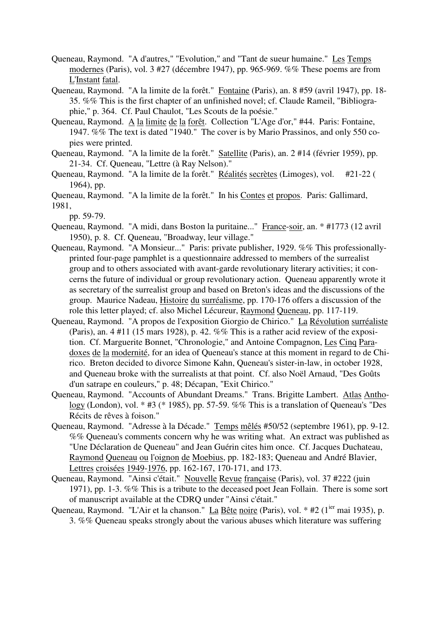- Queneau, Raymond. "A d'autres," "Evolution," and "Tant de sueur humaine." Les Temps modernes (Paris), vol. 3 #27 (décembre 1947), pp. 965-969. %% These poems are from L'Instant fatal.
- Queneau, Raymond. "A la limite de la forêt." Fontaine (Paris), an. 8 #59 (avril 1947), pp. 18- 35. %% This is the first chapter of an unfinished novel; cf. Claude Rameil, "Bibliographie," p. 364. Cf. Paul Chaulot, "Les Scouts de la poésie."
- Queneau, Raymond. A la limite de la forêt. Collection "L'Age d'or," #44. Paris: Fontaine, 1947. %% The text is dated "1940." The cover is by Mario Prassinos, and only 550 copies were printed.
- Queneau, Raymond. "A la limite de la forêt." Satellite (Paris), an. 2 #14 (février 1959), pp. 21-34. Cf. Queneau, "Lettre (à Ray Nelson)."
- Queneau, Raymond. "A la limite de la forêt." Réalités secrètes (Limoges), vol. #21-22 ( 1964), pp.
- Queneau, Raymond. "A la limite de la forêt." In his Contes et propos. Paris: Gallimard, 1981,

pp. 59-79.

- Queneau, Raymond. "A midi, dans Boston la puritaine..." France-soir, an. \* #1773 (12 avril 1950), p. 8. Cf. Queneau, "Broadway, leur village."
- Queneau, Raymond. "A Monsieur..." Paris: private publisher, 1929. %% This professionallyprinted four-page pamphlet is a questionnaire addressed to members of the surrealist group and to others associated with avant-garde revolutionary literary activities; it concerns the future of individual or group revolutionary action. Queneau apparently wrote it as secretary of the surrealist group and based on Breton's ideas and the discussions of the group. Maurice Nadeau, Histoire du surréalisme, pp. 170-176 offers a discussion of the role this letter played; cf. also Michel Lécureur, Raymond Queneau, pp. 117-119.
- Queneau, Raymond. "A propos de l'exposition Giorgio de Chirico." La Révolution surréaliste (Paris), an. 4 #11 (15 mars 1928), p. 42. %% This is a rather acid review of the exposition. Cf. Marguerite Bonnet, "Chronologie," and Antoine Compagnon, Les Cinq Paradoxes de la modernité, for an idea of Queneau's stance at this moment in regard to de Chirico. Breton decided to divorce Simone Kahn, Queneau's sister-in-law, in october 1928, and Queneau broke with the surrealists at that point. Cf. also Noël Arnaud, "Des Goûts d'un satrape en couleurs," p. 48; Décapan, "Exit Chirico."
- Queneau, Raymond. "Accounts of Abundant Dreams." Trans. Brigitte Lambert. Atlas Anthology (London), vol. \* #3 (\* 1985), pp. 57-59. %% This is a translation of Queneau's "Des Récits de rêves à foison."
- Queneau, Raymond. "Adresse à la Décade." Temps mêlés #50/52 (septembre 1961), pp. 9-12. %% Queneau's comments concern why he was writing what. An extract was published as "Une Déclaration de Queneau" and Jean Guérin cites him once. Cf. Jacques Duchateau, Raymond Queneau ou l'oignon de Moebius, pp. 182-183; Queneau and André Blavier, Lettres croisées 1949-1976, pp. 162-167, 170-171, and 173.
- Queneau, Raymond. "Ainsi c'était." Nouvelle Revue française (Paris), vol. 37 #222 (juin 1971), pp. 1-3. %% This is a tribute to the deceased poet Jean Follain. There is some sort of manuscript available at the CDRQ under "Ainsi c'était."
- Queneau, Raymond. "L'Air et la chanson." La Bête noire (Paris), vol. \* #2 (1<sup>ier</sup> mai 1935), p. 3. %% Queneau speaks strongly about the various abuses which literature was suffering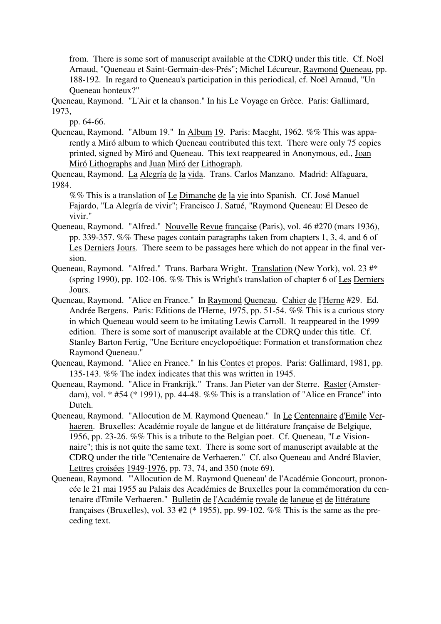from. There is some sort of manuscript available at the CDRQ under this title. Cf. Noël Arnaud, "Queneau et Saint-Germain-des-Prés"; Michel Lécureur, Raymond Queneau, pp. 188-192. In regard to Queneau's participation in this periodical, cf. Noël Arnaud, "Un Queneau honteux?"

Queneau, Raymond. "L'Air et la chanson." In his Le Voyage en Grèce. Paris: Gallimard, 1973,

pp. 64-66.

Queneau, Raymond. "Album 19." In Album 19. Paris: Maeght, 1962. %% This was apparently a Miró album to which Queneau contributed this text. There were only 75 copies printed, signed by Miró and Queneau. This text reappeared in Anonymous, ed., Joan Miró Lithographs and Juan Miró der Lithograph.

Queneau, Raymond. La Alegría de la vida. Trans. Carlos Manzano. Madrid: Alfaguara, 1984.

%% This is a translation of <u>Le Dimanche de la vie</u> into Spanish. Cf. José Manuel Fajardo, "La Alegría de vivir"; Francisco J. Satué, "Raymond Queneau: El Deseo de vivir."

- Queneau, Raymond. "Alfred." Nouvelle Revue française (Paris), vol. 46 #270 (mars 1936), pp. 339-357. %% These pages contain paragraphs taken from chapters 1, 3, 4, and 6 of Les Derniers Jours. There seem to be passages here which do not appear in the final version.
- Queneau, Raymond. "Alfred." Trans. Barbara Wright. Translation (New York), vol. 23 #\* (spring 1990), pp. 102-106. %% This is Wright's translation of chapter 6 of Les Derniers Jours.
- Queneau, Raymond. "Alice en France." In Raymond Queneau. Cahier de l'Herne #29. Ed. Andrée Bergens. Paris: Editions de l'Herne, 1975, pp. 51-54. %% This is a curious story in which Queneau would seem to be imitating Lewis Carroll. It reappeared in the 1999 edition. There is some sort of manuscript available at the CDRQ under this title. Cf. Stanley Barton Fertig, "Une Ecriture encyclopoétique: Formation et transformation chez Raymond Queneau."
- Queneau, Raymond. "Alice en France." In his Contes et propos. Paris: Gallimard, 1981, pp. 135-143. %% The index indicates that this was written in 1945.
- Queneau, Raymond. "Alice in Frankrijk." Trans. Jan Pieter van der Sterre. Raster (Amsterdam), vol. \* #54 (\* 1991), pp. 44-48. %% This is a translation of "Alice en France" into Dutch.
- Queneau, Raymond. "Allocution de M. Raymond Queneau." In Le Centennaire d'Emile Verhaeren. Bruxelles: Académie royale de langue et de littérature française de Belgique, 1956, pp. 23-26. %% This is a tribute to the Belgian poet. Cf. Queneau, "Le Visionnaire"; this is not quite the same text. There is some sort of manuscript available at the CDRQ under the title "Centenaire de Verhaeren." Cf. also Queneau and André Blavier, Lettres croisées 1949-1976, pp. 73, 74, and 350 (note 69).
- Queneau, Raymond. "'Allocution de M. Raymond Queneau' de l'Académie Goncourt, prononcée le 21 mai 1955 au Palais des Académies de Bruxelles pour la commémoration du centenaire d'Emile Verhaeren." Bulletin de l'Académie royale de langue et de littérature françaises (Bruxelles), vol. 33 #2 (\* 1955), pp. 99-102. %% This is the same as the preceding text.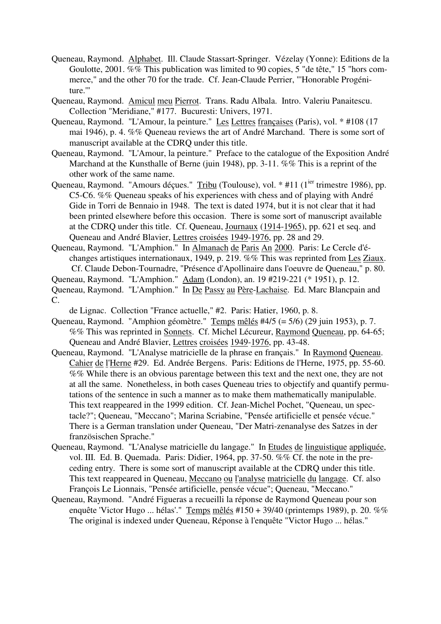- Queneau, Raymond. Alphabet. Ill. Claude Stassart-Springer. Vézelay (Yonne): Editions de la Goulotte, 2001. %% This publication was limited to 90 copies, 5 "de tête," 15 "hors commerce," and the other 70 for the trade. Cf. Jean-Claude Perrier, "'Honorable Progéniture.'"
- Queneau, Raymond. Amicul meu Pierrot. Trans. Radu Albala. Intro. Valeriu Panaitescu. Collection "Meridiane," #177. Bucuresti: Univers, 1971.
- Queneau, Raymond. "L'Amour, la peinture." Les Lettres françaises (Paris), vol. \* #108 (17 mai 1946), p. 4. %% Queneau reviews the art of André Marchand. There is some sort of manuscript available at the CDRQ under this title.
- Queneau, Raymond. "L'Amour, la peinture." Preface to the catalogue of the Exposition André Marchand at the Kunsthalle of Berne (juin 1948), pp. 3-11. %% This is a reprint of the other work of the same name.
- Queneau, Raymond. "Amours déçues." Tribu (Toulouse), vol. \* #11 (1<sup>ier</sup> trimestre 1986), pp. C5-C6. %% Queneau speaks of his experiences with chess and of playing with André Gide in Torri de Bennaio in 1948. The text is dated 1974, but it is not clear that it had been printed elsewhere before this occasion. There is some sort of manuscript available at the CDRQ under this title. Cf. Queneau, Journaux (1914-1965), pp. 621 et seq. and Queneau and André Blavier, Lettres croisées 1949-1976, pp. 28 and 29.
- Queneau, Raymond. "L'Amphion." In Almanach de Paris An 2000. Paris: Le Cercle d'échanges artistiques internationaux, 1949, p. 219. %% This was reprinted from Les Ziaux. Cf. Claude Debon-Tournadre, "Présence d'Apollinaire dans l'oeuvre de Queneau," p. 80.
- Queneau, Raymond. "L'Amphion." Adam (London), an. 19 #219-221 (\* 1951), p. 12. Queneau, Raymond. "L'Amphion." In De Passy au Père-Lachaise. Ed. Marc Blancpain and C.
	- de Lignac. Collection "France actuelle," #2. Paris: Hatier, 1960, p. 8.
- Queneau, Raymond. "Amphion géomètre." Temps mêlés #4/5 (= 5/6) (29 juin 1953), p. 7. %% This was reprinted in Sonnets. Cf. Michel Lécureur, Raymond Queneau, pp. 64-65; Queneau and André Blavier, Lettres croisées 1949-1976, pp. 43-48.
- Queneau, Raymond. "L'Analyse matricielle de la phrase en français." In Raymond Queneau. Cahier de l'Herne #29. Ed. Andrée Bergens. Paris: Editions de l'Herne, 1975, pp. 55-60. %% While there is an obvious parentage between this text and the next one, they are not at all the same. Nonetheless, in both cases Queneau tries to objectify and quantify permutations of the sentence in such a manner as to make them mathematically manipulable. This text reappeared in the 1999 edition. Cf. Jean-Michel Pochet, "Queneau, un spectacle?"; Queneau, "Meccano"; Marina Scriabine, "Pensée artificielle et pensée vécue." There is a German translation under Queneau, "Der Matri-zenanalyse des Satzes in der französischen Sprache."
- Queneau, Raymond. "L'Analyse matricielle du langage." In Etudes de linguistique appliquée, vol. III. Ed. B. Quemada. Paris: Didier, 1964, pp. 37-50. %% Cf. the note in the preceding entry. There is some sort of manuscript available at the CDRQ under this title. This text reappeared in Queneau, Meccano ou l'analyse matricielle du langage. Cf. also François Le Lionnais, "Pensée artificielle, pensée vécue"; Queneau, "Meccano."
- Queneau, Raymond. "André Figueras a recueilli la réponse de Raymond Queneau pour son enquête 'Victor Hugo ... hélas'." Temps mêlés #150 + 39/40 (printemps 1989), p. 20. %% The original is indexed under Queneau, Réponse à l'enquête "Victor Hugo ... hélas."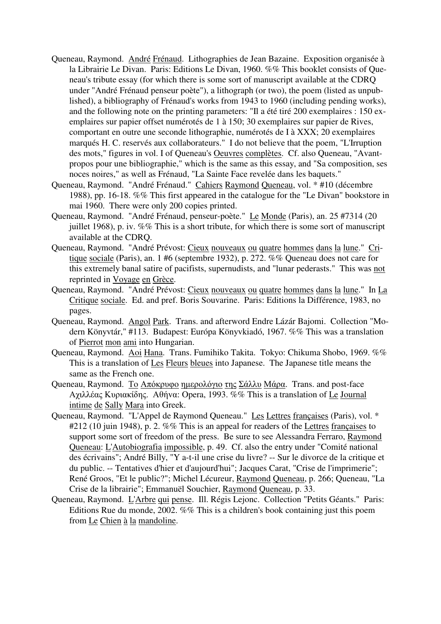- Queneau, Raymond. André Frénaud. Lithographies de Jean Bazaine. Exposition organisée à la Librairie Le Divan. Paris: Editions Le Divan, 1960. %% This booklet consists of Queneau's tribute essay (for which there is some sort of manuscript available at the CDRQ under "André Frénaud penseur poète"), a lithograph (or two), the poem (listed as unpublished), a bibliography of Frénaud's works from 1943 to 1960 (including pending works), and the following note on the printing parameters: "Il a été tiré 200 exemplaires : 150 exemplaires sur papier offset numérotés de 1 à 150; 30 exemplaires sur papier de Rives, comportant en outre une seconde lithographie, numérotés de I à XXX; 20 exemplaires marqués H. C. reservés aux collaborateurs." I do not believe that the poem, "L'Irruption des mots," figures in vol. I of Queneau's Oeuvres complètes. Cf. also Queneau, "Avantpropos pour une bibliographie," which is the same as this essay, and "Sa composition, ses noces noires," as well as Frénaud, "La Sainte Face revelée dans les baquets."
- Queneau, Raymond. "André Frénaud." Cahiers Raymond Queneau, vol. \* #10 (décembre 1988), pp. 16-18. %% This first appeared in the catalogue for the "Le Divan" bookstore in mai 1960. There were only 200 copies printed.
- Queneau, Raymond. "André Frénaud, penseur-poète." Le Monde (Paris), an. 25 #7314 (20 juillet 1968), p. iv. %% This is a short tribute, for which there is some sort of manuscript available at the CDRQ.
- Queneau, Raymond. "André Prévost: Cieux nouveaux ou quatre hommes dans la lune." Critique sociale (Paris), an. 1 #6 (septembre 1932), p. 272. %% Queneau does not care for this extremely banal satire of pacifists, supernudists, and "lunar pederasts." This was not reprinted in Voyage en Grèce.
- Queneau, Raymond. "André Prévost: Cieux nouveaux ou quatre hommes dans la lune." In La Critique sociale. Ed. and pref. Boris Souvarine. Paris: Editions la Différence, 1983, no pages.
- Queneau, Raymond. Angol Park. Trans. and afterword Endre Lázár Bajomi. Collection "Modern Könyvtár," #113. Budapest: Európa Könyvkiadó, 1967. %% This was a translation of Pierrot mon ami into Hungarian.
- Queneau, Raymond. Aoi Hana. Trans. Fumihiko Takita. Tokyo: Chikuma Shobo, 1969. %% This is a translation of Les Fleurs bleues into Japanese. The Japanese title means the same as the French one.
- Queneau, Raymond. <u>Το Απόκρυφο ημερολόγιο της Σάλλυ Μάρα</u>. Trans. and post-face Αχιλλέας Κυριακίδης. Αθήvα: Opera, 1993. %% This is a translation of Le Journal intime de Sally Mara into Greek.
- Queneau, Raymond. "L'Appel de Raymond Queneau." Les Lettres françaises (Paris), vol. \* #212 (10 juin 1948), p. 2. %% This is an appeal for readers of the Lettres francaises to support some sort of freedom of the press. Be sure to see Alessandra Ferraro, Raymond Queneau: L'Autobiografia impossible, p. 49. Cf. also the entry under "Comité national des écrivains"; André Billy, "Y a-t-il une crise du livre? -- Sur le divorce de la critique et du public. -- Tentatives d'hier et d'aujourd'hui"; Jacques Carat, "Crise de l'imprimerie"; René Groos, "Et le public?"; Michel Lécureur, Raymond Queneau, p. 266; Queneau, "La Crise de la librairie"; Emmanuël Souchier, Raymond Queneau, p. 33.
- Queneau, Raymond. L'Arbre qui pense. Ill. Régis Lejonc. Collection "Petits Géants." Paris: Editions Rue du monde, 2002. %% This is a children's book containing just this poem from Le Chien à la mandoline.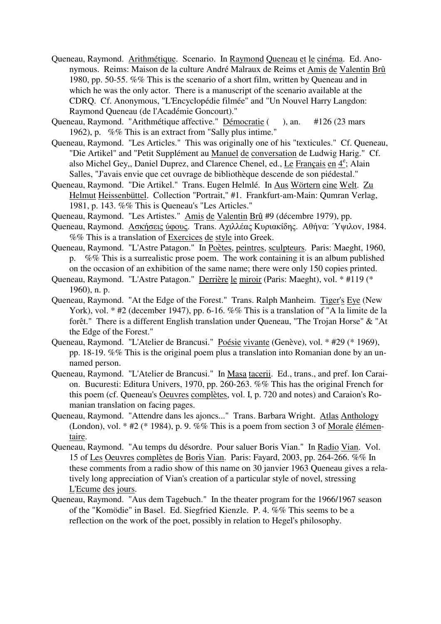- Queneau, Raymond. Arithmétique. Scenario. In Raymond Queneau et le cinéma. Ed. Anonymous. Reims: Maison de la culture André Malraux de Reims et Amis de Valentin Brû 1980, pp. 50-55. %% This is the scenario of a short film, written by Queneau and in which he was the only actor. There is a manuscript of the scenario available at the CDRQ. Cf. Anonymous, "L'Encyclopédie filmée" and "Un Nouvel Harry Langdon: Raymond Queneau (de l'Académie Goncourt)."
- Queneau, Raymond. "Arithmétique affective." Démocratie ( ), an. #126 (23 mars 1962), p. %% This is an extract from "Sally plus intime."
- Queneau, Raymond. "Les Articles." This was originally one of his "texticules." Cf. Queneau, "Die Artikel" and "Petit Supplément au Manuel de conversation de Ludwig Harig." Cf. also Michel Gey,, Daniel Duprez, and Clarence Chenel, ed., Le Français en  $4^e$ ; Alain Salles, "J'avais envie que cet ouvrage de bibliothèque descende de son piédestal."
- Queneau, Raymond. "Die Artikel." Trans. Eugen Helmlé. In Aus Wörtern eine Welt. Zu Helmut Heissenbüttel. Collection "Portrait," #1. Frankfurt-am-Main: Qumran Verlag, 1981, p. 143. %% This is Queneau's "Les Articles."
- Queneau, Raymond. "Les Artistes." Amis de Valentin Brû #9 (décembre 1979), pp.
- Queneau, Raymond. Ασκήσεις ύφoυς. Trans. Αχιλλέας Κυριακίδης. Αθήvα: ΄Υψιλov, 1984. %% This is a translation of Exercices de style into Greek.
- Queneau, Raymond. "L'Astre Patagon." In Poètes, peintres, sculpteurs. Paris: Maeght, 1960, p. %% This is a surrealistic prose poem. The work containing it is an album published on the occasion of an exhibition of the same name; there were only 150 copies printed.
- Queneau, Raymond. "L'Astre Patagon." Derrière le miroir (Paris: Maeght), vol. \* #119 (\* 1960), n. p.
- Queneau, Raymond. "At the Edge of the Forest." Trans. Ralph Manheim. Tiger's Eye (New York), vol. \* #2 (december 1947), pp. 6-16. %% This is a translation of "A la limite de la forêt." There is a different English translation under Queneau, "The Trojan Horse" & "At the Edge of the Forest."
- Queneau, Raymond. "L'Atelier de Brancusi." Poésie vivante (Genève), vol. \* #29 (\* 1969), pp. 18-19. %% This is the original poem plus a translation into Romanian done by an unnamed person.
- Queneau, Raymond. "L'Atelier de Brancusi." In Masa tacerii. Ed., trans., and pref. Ion Caraion. Bucuresti: Editura Univers, 1970, pp. 260-263. %% This has the original French for this poem (cf. Queneau's Oeuvres complètes, vol. I, p. 720 and notes) and Caraion's Romanian translation on facing pages.
- Queneau, Raymond. "Attendre dans les ajoncs..." Trans. Barbara Wright. Atlas Anthology (London), vol. \* #2 (\* 1984), p. 9. %% This is a poem from section 3 of Morale élémentaire.
- Queneau, Raymond. "Au temps du désordre. Pour saluer Boris Vian." In Radio Vian. Vol. 15 of Les Oeuvres complètes de Boris Vian. Paris: Fayard, 2003, pp. 264-266. %% In these comments from a radio show of this name on 30 janvier 1963 Queneau gives a relatively long appreciation of Vian's creation of a particular style of novel, stressing L'Ecume des jours.
- Queneau, Raymond. "Aus dem Tagebuch." In the theater program for the 1966/1967 season of the "Komödie" in Basel. Ed. Siegfried Kienzle. P. 4. %% This seems to be a reflection on the work of the poet, possibly in relation to Hegel's philosophy.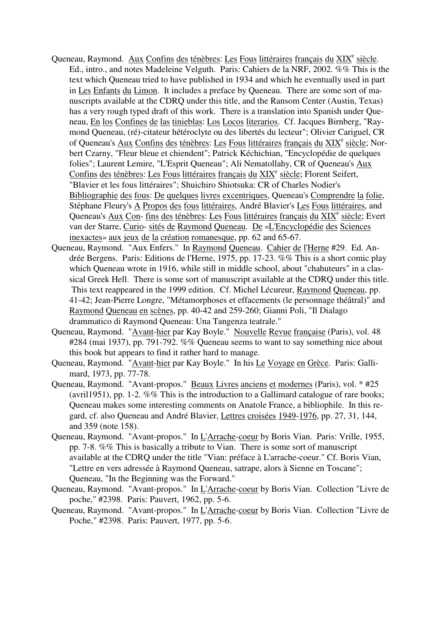- Queneau, Raymond. Aux Confins des ténèbres: Les Fous littéraires français du XIX<sup>e</sup> siècle. Ed., intro., and notes Madeleine Velguth. Paris: Cahiers de la NRF, 2002. %% This is the text which Queneau tried to have published in 1934 and which he eventually used in part in Les Enfants du Limon. It includes a preface by Queneau. There are some sort of manuscripts available at the CDRQ under this title, and the Ransom Center (Austin, Texas) has a very rough typed draft of this work. There is a translation into Spanish under Queneau, En los Confines de las tinieblas: Los Locos literarios. Cf. Jacques Birnberg, "Raymond Queneau, (ré)-citateur hétéroclyte ou des libertés du lecteur"; Olivier Cariguel, CR of Queneau's Aux Confins des ténèbres: Les Fous littéraires français du XIX<sup>e</sup> siècle; Norbert Czarny, "Fleur bleue et chiendent"; Patrick Kéchichian, "Encyclopédie de quelques folies"; Laurent Lemire, "L'Esprit Queneau"; Ali Nematollahy, CR of Queneau's Aux Confins des ténèbres: Les Fous littéraires français du XIX<sup>e</sup> siècle; Florent Seifert, "Blavier et les fous littéraires"; Shuichiro Shiotsuka: CR of Charles Nodier's Bibliographie des fous: De quelques livres excentriques, Queneau's Comprendre la folie, Stéphane Fleury's A Propos des fous littéraires, André Blavier's Les Fous littéraires, and Queneau's Aux Con- fins des ténèbres: Les Fous littéraires français du XIX<sup>e</sup> siècle; Evert van der Starre, Curio- sités de Raymond Queneau. De «L'Encyclopédie des Sciences inexactes» aux jeux de la création romanesque, pp. 62 and 65-67.
- Queneau, Raymond. "Aux Enfers." In Raymond Queneau. Cahier de l'Herne #29. Ed. Andrée Bergens. Paris: Editions de l'Herne, 1975, pp. 17-23. %% This is a short comic play which Queneau wrote in 1916, while still in middle school, about "chahuteurs" in a classical Greek Hell. There is some sort of manuscript available at the CDRQ under this title. This text reappeared in the 1999 edition. Cf. Michel Lécureur, Raymond Queneau, pp. 41-42; Jean-Pierre Longre, "Métamorphoses et effacements (le personnage théâtral)" and Raymond Queneau en scènes, pp. 40-42 and 259-260; Gianni Poli, "Il Dialago drammatico di Raymond Queneau: Una Tangenza teatrale."
- Queneau, Raymond. "Avant-hier par Kay Boyle." Nouvelle Revue française (Paris), vol. 48 #284 (mai 1937), pp. 791-792. %% Queneau seems to want to say something nice about this book but appears to find it rather hard to manage.
- Queneau, Raymond. "Avant-hier par Kay Boyle." In his Le Voyage en Grèce. Paris: Gallimard, 1973, pp. 77-78.
- Queneau, Raymond. "Avant-propos." Beaux Livres anciens et modernes (Paris), vol. \* #25 (avril 1951), pp. 1-2.  $\%$ % This is the introduction to a Gallimard catalogue of rare books; Queneau makes some interesting comments on Anatole France, a bibliophile. In this regard, cf. also Queneau and André Blavier, Lettres croisées 1949-1976, pp. 27, 31, 144, and 359 (note 158).
- Queneau, Raymond. "Avant-propos." In L'Arrache-coeur by Boris Vian. Paris: Vrille, 1955, pp. 7-8. %% This is basically a tribute to Vian. There is some sort of manuscript available at the CDRQ under the title "Vian: préface à L'arrache-coeur." Cf. Boris Vian, "Lettre en vers adressée à Raymond Queneau, satrape, alors à Sienne en Toscane"; Queneau, "In the Beginning was the Forward."
- Queneau, Raymond. "Avant-propos." In L'Arrache-coeur by Boris Vian. Collection "Livre de poche," #2398. Paris: Pauvert, 1962, pp. 5-6.
- Queneau, Raymond. "Avant-propos." In L'Arrache-coeur by Boris Vian. Collection "Livre de Poche," #2398. Paris: Pauvert, 1977, pp. 5-6.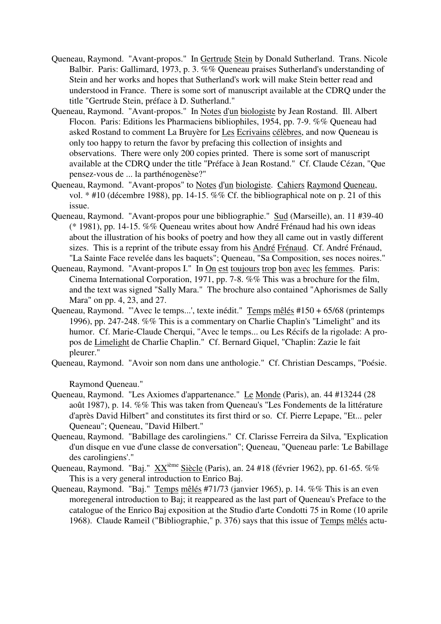- Queneau, Raymond. "Avant-propos." In Gertrude Stein by Donald Sutherland. Trans. Nicole Balbir. Paris: Gallimard, 1973, p. 3. %% Queneau praises Sutherland's understanding of Stein and her works and hopes that Sutherland's work will make Stein better read and understood in France. There is some sort of manuscript available at the CDRQ under the title "Gertrude Stein, préface à D. Sutherland."
- Queneau, Raymond. "Avant-propos." In Notes d'un biologiste by Jean Rostand. Ill. Albert Flocon. Paris: Editions les Pharmaciens bibliophiles, 1954, pp. 7-9. %% Queneau had asked Rostand to comment La Bruyère for Les Ecrivains célèbres, and now Queneau is only too happy to return the favor by prefacing this collection of insights and observations. There were only 200 copies printed. There is some sort of manuscript available at the CDRQ under the title "Préface à Jean Rostand." Cf. Claude Cézan, "Que pensez-vous de ... la parthénogenèse?"
- Queneau, Raymond. "Avant-propos" to Notes d'un biologiste. Cahiers Raymond Queneau, vol. \* #10 (décembre 1988), pp. 14-15. %% Cf. the bibliographical note on p. 21 of this issue.
- Queneau, Raymond. "Avant-propos pour une bibliographie." Sud (Marseille), an. 11 #39-40 (\* 1981), pp. 14-15. %% Queneau writes about how André Frénaud had his own ideas about the illustration of his books of poetry and how they all came out in vastly different sizes. This is a reprint of the tribute essay from his André Frénaud. Cf. André Frénaud, "La Sainte Face revelée dans les baquets"; Queneau, "Sa Composition, ses noces noires."
- Queneau, Raymond. "Avant-propos I." In On est toujours trop bon avec les femmes. Paris: Cinema International Corporation, 1971, pp. 7-8. %% This was a brochure for the film, and the text was signed "Sally Mara." The brochure also contained "Aphorismes de Sally Mara" on pp. 4, 23, and 27.
- Queneau, Raymond. "'Avec le temps...', texte inédit." Temps mêlés #150 + 65/68 (printemps 1996), pp. 247-248. %% This is a commentary on Charlie Chaplin's "Limelight" and its humor. Cf. Marie-Claude Cherqui, "Avec le temps... ou Les Récifs de la rigolade: A propos de Limelight de Charlie Chaplin." Cf. Bernard Giquel, "Chaplin: Zazie le fait pleurer."
- Queneau, Raymond. "Avoir son nom dans une anthologie." Cf. Christian Descamps, "Poésie.

Raymond Queneau."

- Queneau, Raymond. "Les Axiomes d'appartenance." Le Monde (Paris), an. 44 #13244 (28 août 1987), p. 14. %% This was taken from Queneau's "Les Fondements de la littérature d'après David Hilbert" and constitutes its first third or so. Cf. Pierre Lepape, "Et... peler Queneau"; Queneau, "David Hilbert."
- Queneau, Raymond. "Babillage des carolingiens." Cf. Clarisse Ferreira da Silva, "Explication d'un disque en vue d'une classe de conversation"; Queneau, "Queneau parle: 'Le Babillage des carolingiens'."
- Queneau, Raymond. "Baj." XX<sup>ième</sup> Siècle (Paris), an. 24 #18 (février 1962), pp. 61-65. %% This is a very general introduction to Enrico Baj.
- Queneau, Raymond. "Baj." Temps mêlés #71/73 (janvier 1965), p. 14. %% This is an even moregeneral introduction to Baj; it reappeared as the last part of Queneau's Preface to the catalogue of the Enrico Baj exposition at the Studio d'arte Condotti 75 in Rome (10 aprile 1968). Claude Rameil ("Bibliographie," p. 376) says that this issue of Temps mêlés actu-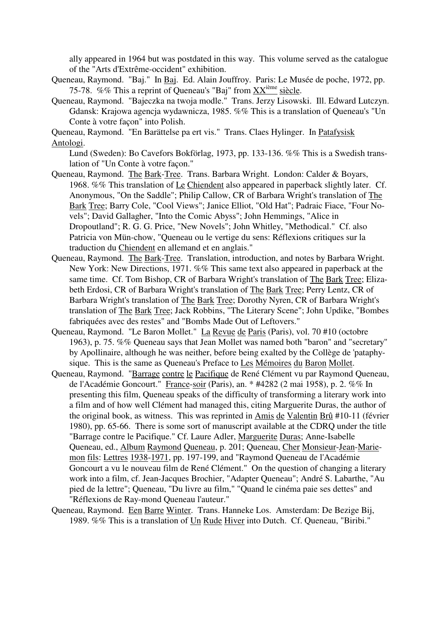ally appeared in 1964 but was postdated in this way. This volume served as the catalogue of the "Arts d'Extrême-occident" exhibition.

- Queneau, Raymond. "Baj." In Baj. Ed. Alain Jouffroy. Paris: Le Musée de poche, 1972, pp. 75-78. %% This a reprint of Queneau's "Baj" from  $\frac{XX^{i\text{eme}}}{\text{side}}$  siècle.
- Queneau, Raymond. "Bajeczka na twoja modle." Trans. Jerzy Lisowski. Ill. Edward Lutczyn. Gdansk: Krajowa agencja wydawnicza, 1985. %% This is a translation of Queneau's "Un Conte à votre façon" into Polish.

Queneau, Raymond. "En Barättelse pa ert vis." Trans. Claes Hylinger. In Patafysisk Antologi.

Lund (Sweden): Bo Cavefors Bokförlag, 1973, pp. 133-136. %% This is a Swedish translation of "Un Conte à votre façon."

- Queneau, Raymond. The Bark-Tree. Trans. Barbara Wright. London: Calder & Boyars, 1968. %% This translation of Le Chiendent also appeared in paperback slightly later. Cf. Anonymous, "On the Saddle"; Philip Callow, CR of Barbara Wright's translation of The Bark Tree; Barry Cole, "Cool Views"; Janice Elliot, "Old Hat"; Padraic Fiace, "Four Novels"; David Gallagher, "Into the Comic Abyss"; John Hemmings, "Alice in Dropoutland"; R. G. G. Price, "New Novels"; John Whitley, "Methodical." Cf. also Patricia von Mün-chow, "Queneau ou le vertige du sens: Réflexions critiques sur la traduction du Chiendent en allemand et en anglais."
- Queneau, Raymond. The Bark-Tree. Translation, introduction, and notes by Barbara Wright. New York: New Directions, 1971. %% This same text also appeared in paperback at the same time. Cf. Tom Bishop, CR of Barbara Wright's translation of The Bark Tree; Elizabeth Erdosi, CR of Barbara Wright's translation of The Bark Tree; Perry Lentz, CR of Barbara Wright's translation of The Bark Tree; Dorothy Nyren, CR of Barbara Wright's translation of The Bark Tree; Jack Robbins, "The Literary Scene"; John Updike, "Bombes fabriquées avec des restes" and "Bombs Made Out of Leftovers."
- Queneau, Raymond. "Le Baron Mollet." La Revue de Paris (Paris), vol. 70 #10 (octobre 1963), p. 75. %% Queneau says that Jean Mollet was named both "baron" and "secretary" by Apollinaire, although he was neither, before being exalted by the Collège de 'pataphysique. This is the same as Queneau's Preface to Les Mémoires du Baron Mollet.
- Queneau, Raymond. "Barrage contre le Pacifique de René Clément vu par Raymond Queneau, de l'Académie Goncourt." France-soir (Paris), an. \* #4282 (2 mai 1958), p. 2. %% In presenting this film, Queneau speaks of the difficulty of transforming a literary work into a film and of how well Clément had managed this, citing Marguerite Duras, the author of the original book, as witness. This was reprinted in Amis de Valentin Brû #10-11 (février 1980), pp. 65-66. There is some sort of manuscript available at the CDRQ under the title "Barrage contre le Pacifique." Cf. Laure Adler, Marguerite Duras; Anne-Isabelle Queneau, ed., Album Raymond Queneau, p. 201; Queneau, Cher Monsieur-Jean-Mariemon fils: Lettres 1938-1971, pp. 197-199, and "Raymond Queneau de l'Académie Goncourt a vu le nouveau film de René Clément." On the question of changing a literary work into a film, cf. Jean-Jacques Brochier, "Adapter Queneau"; André S. Labarthe, "Au pied de la lettre"; Queneau, "Du livre au film," "Quand le cinéma paie ses dettes" and "Réflexions de Ray-mond Queneau l'auteur."
- Queneau, Raymond. Een Barre Winter. Trans. Hanneke Los. Amsterdam: De Bezige Bij, 1989. %% This is a translation of Un Rude Hiver into Dutch. Cf. Queneau, "Biribi."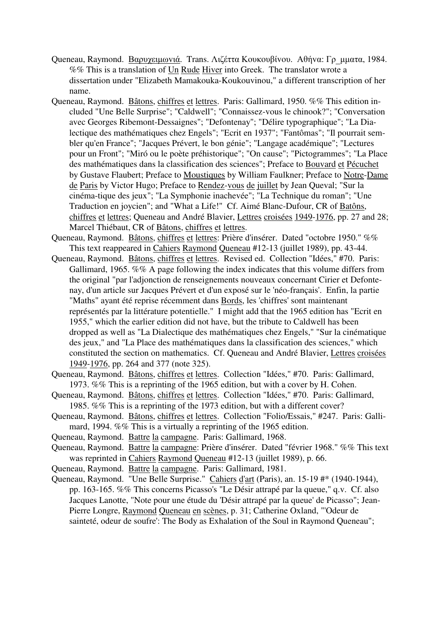- Queneau, Raymond. Βαρυχειμωνιά. Trans. Λιζέττα Κουκουβίνου. Αθήνα: Γρ μματα, 1984. %% This is a translation of Un Rude Hiver into Greek. The translator wrote a dissertation under "Elizabeth Mamakouka-Koukouvinou," a different transcription of her name.
- Queneau, Raymond. Bâtons, chiffres et lettres. Paris: Gallimard, 1950. %% This edition included "Une Belle Surprise"; "Caldwell"; "Connaissez-vous le chinook?"; "Conversation avec Georges Ribemont-Dessaignes"; "Defontenay"; "Délire typographique"; "La Dialectique des mathématiques chez Engels"; "Ecrit en 1937"; "Fantômas"; "Il pourrait sembler qu'en France"; "Jacques Prévert, le bon génie"; "Langage académique"; "Lectures pour un Front"; "Miró ou le poète préhistorique"; "On cause"; "Pictogrammes"; "La Place des mathématiques dans la classification des sciences"; Preface to Bouvard et Pécuchet by Gustave Flaubert; Preface to Moustiques by William Faulkner; Preface to Notre-Dame de Paris by Victor Hugo; Preface to Rendez-vous de juillet by Jean Queval; "Sur la cinéma-tique des jeux"; "La Symphonie inachevée"; "La Technique du roman"; "Une Traduction en joycien"; and "What a Life!" Cf. Aimé Blanc-Dufour, CR of Batôns, chiffres et lettres; Queneau and André Blavier, Lettres croisées 1949-1976, pp. 27 and 28; Marcel Thiébaut, CR of Bâtons, chiffres et lettres.
- Queneau, Raymond. Bâtons, chiffres et lettres: Prière d'insérer. Dated "octobre 1950." %% This text reappeared in Cahiers Raymond Queneau #12-13 (juillet 1989), pp. 43-44.
- Queneau, Raymond. Bâtons, chiffres et lettres. Revised ed. Collection "Idées," #70. Paris: Gallimard, 1965. %% A page following the index indicates that this volume differs from the original "par l'adjonction de renseignements nouveaux concernant Cirier et Defontenay, d'un article sur Jacques Prévert et d'un exposé sur le 'néo-français'. Enfin, la partie "Maths" ayant été reprise récemment dans Bords, les 'chiffres' sont maintenant représentés par la littérature potentielle." I might add that the 1965 edition has "Ecrit en 1955," which the earlier edition did not have, but the tribute to Caldwell has been dropped as well as "La Dialectique des mathématiques chez Engels," "Sur la cinématique des jeux," and "La Place des mathématiques dans la classification des sciences," which constituted the section on mathematics. Cf. Queneau and André Blavier, Lettres croisées 1949-1976, pp. 264 and 377 (note 325).
- Queneau, Raymond. Bâtons, chiffres et lettres. Collection "Idées," #70. Paris: Gallimard, 1973. %% This is a reprinting of the 1965 edition, but with a cover by H. Cohen.
- Queneau, Raymond. Bâtons, chiffres et lettres. Collection "Idées," #70. Paris: Gallimard, 1985. %% This is a reprinting of the 1973 edition, but with a different cover?
- Queneau, Raymond. Bâtons, chiffres et lettres. Collection "Folio/Essais," #247. Paris: Gallimard, 1994. %% This is a virtually a reprinting of the 1965 edition.
- Queneau, Raymond. Battre la campagne. Paris: Gallimard, 1968.
- Queneau, Raymond. Battre la campagne: Prière d'insérer. Dated "février 1968." %% This text was reprinted in Cahiers Raymond Queneau #12-13 (juillet 1989), p. 66.
- Queneau, Raymond. Battre la campagne. Paris: Gallimard, 1981.
- Queneau, Raymond. "Une Belle Surprise." Cahiers d'art (Paris), an. 15-19 #\* (1940-1944), pp. 163-165. %% This concerns Picasso's "Le Désir attrapé par la queue," q.v. Cf. also Jacques Lanotte, "Note pour une étude du 'Désir attrapé par la queue' de Picasso"; Jean-Pierre Longre, Raymond Queneau en scènes, p. 31; Catherine Oxland, "'Odeur de sainteté, odeur de soufre': The Body as Exhalation of the Soul in Raymond Queneau";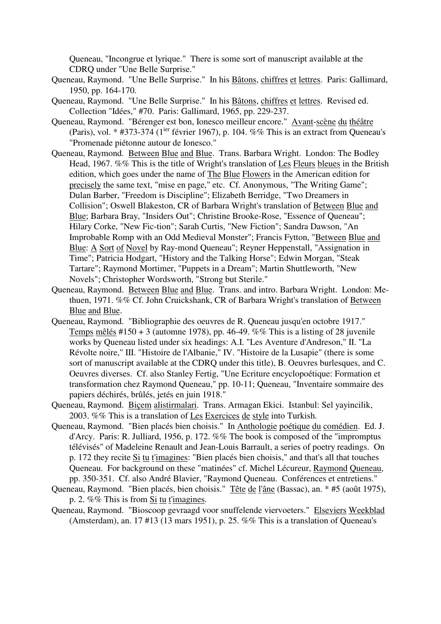Queneau, "Incongrue et lyrique." There is some sort of manuscript available at the CDRQ under "Une Belle Surprise."

- Queneau, Raymond. "Une Belle Surprise." In his Bâtons, chiffres et lettres. Paris: Gallimard, 1950, pp. 164-170.
- Queneau, Raymond. "Une Belle Surprise." In his Bâtons, chiffres et lettres. Revised ed. Collection "Idées," #70. Paris: Gallimard, 1965, pp. 229-237.
- Queneau, Raymond. "Bérenger est bon, Ionesco meilleur encore." Avant-scène du théâtre (Paris), vol.  $*$  #373-374 (1<sup>ier</sup> février 1967), p. 104. %% This is an extract from Queneau's "Promenade piétonne autour de Ionesco."
- Queneau, Raymond. Between Blue and Blue. Trans. Barbara Wright. London: The Bodley Head, 1967. %% This is the title of Wright's translation of Les Fleurs bleues in the British edition, which goes under the name of The Blue Flowers in the American edition for precisely the same text, "mise en page," etc. Cf. Anonymous, "The Writing Game"; Dulan Barber, "Freedom is Discipline"; Elizabeth Berridge, "Two Dreamers in Collision"; Oswell Blakeston, CR of Barbara Wright's translation of Between Blue and Blue; Barbara Bray, "Insiders Out"; Christine Brooke-Rose, "Essence of Queneau"; Hilary Corke, "New Fic-tion"; Sarah Curtis, "New Fiction"; Sandra Dawson, "An Improbable Romp with an Odd Medieval Monster"; Francis Fytton, "Between Blue and Blue: A Sort of Novel by Ray-mond Queneau"; Reyner Heppenstall, "Assignation in Time"; Patricia Hodgart, "History and the Talking Horse"; Edwin Morgan, "Steak Tartare"; Raymond Mortimer, "Puppets in a Dream"; Martin Shuttleworth, "New Novels"; Christopher Wordsworth, "Strong but Sterile."
- Queneau, Raymond. Between Blue and Blue. Trans. and intro. Barbara Wright. London: Methuen, 1971. %% Cf. John Cruickshank, CR of Barbara Wright's translation of Between Blue and Blue.
- Queneau, Raymond. "Bibliographie des oeuvres de R. Queneau jusqu'en octobre 1917." Temps mêlés #150 + 3 (automne 1978), pp. 46-49. %% This is a listing of 28 juvenile works by Queneau listed under six headings: A.I. "Les Aventure d'Andreson," II. "La Révolte noire," III. "Histoire de l'Albanie," IV. "Histoire de la Lusapie" (there is some sort of manuscript available at the CDRQ under this title), B. Oeuvres burlesques, and C. Oeuvres diverses. Cf. also Stanley Fertig, "Une Ecriture encyclopoétique: Formation et transformation chez Raymond Queneau," pp. 10-11; Queneau, "Inventaire sommaire des papiers déchirés, brûlés, jetés en juin 1918."
- Queneau, Raymond. Biçem alistirmalari. Trans. Armagan Ekici. Istanbul: Sel yayincilik, 2003. %% This is a translation of Les Exercices de style into Turkish.
- Queneau, Raymond. "Bien placés bien choisis." In Anthologie poétique du comédien. Ed. J. d'Arcy. Paris: R. Julliard, 1956, p. 172. %% The book is composed of the "impromptus télévisés" of Madeleine Renault and Jean-Louis Barrault, a series of poetry readings. On p. 172 they recite Si tu t'imagines: "Bien placés bien choisis," and that's all that touches Queneau. For background on these "matinées" cf. Michel Lécureur, Raymond Queneau, pp. 350-351. Cf. also André Blavier, "Raymond Queneau. Conférences et entretiens."
- Queneau, Raymond. "Bien placés, bien choisis." Tête de l'âne (Bassac), an. \* #5 (août 1975), p. 2. %% This is from Si tu t'imagines.
- Queneau, Raymond. "Bioscoop gevraagd voor snuffelende viervoeters." Elseviers Weekblad (Amsterdam), an. 17 #13 (13 mars 1951), p. 25. %% This is a translation of Queneau's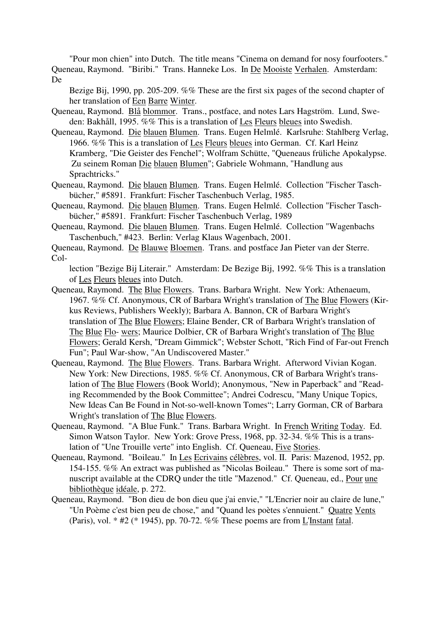"Pour mon chien" into Dutch. The title means "Cinema on demand for nosy fourfooters." Queneau, Raymond. "Biribi." Trans. Hanneke Los. In De Mooiste Verhalen. Amsterdam: De

Bezige Bij, 1990, pp. 205-209. %% These are the first six pages of the second chapter of her translation of Een Barre Winter.

- Queneau, Raymond. Blå blommor. Trans., postface, and notes Lars Hagström. Lund, Sweden: Bakhåll, 1995. %% This is a translation of Les Fleurs bleues into Swedish.
- Queneau, Raymond. Die blauen Blumen. Trans. Eugen Helmlé. Karlsruhe: Stahlberg Verlag, 1966. %% This is a translation of Les Fleurs bleues into German. Cf. Karl Heinz Kramberg, "Die Geister des Fenchel"; Wolfram Schütte, "Queneaus früliche Apokalypse. Zu seinem Roman Die blauen Blumen"; Gabriele Wohmann, "Handlung aus Sprachtricks."
- Queneau, Raymond. Die blauen Blumen. Trans. Eugen Helmlé. Collection "Fischer Taschbücher," #5891. Frankfurt: Fischer Taschenbuch Verlag, 1985.
- Queneau, Raymond. Die blauen Blumen. Trans. Eugen Helmlé. Collection "Fischer Taschbücher," #5891. Frankfurt: Fischer Taschenbuch Verlag, 1989
- Queneau, Raymond. Die blauen Blumen. Trans. Eugen Helmlé. Collection "Wagenbachs Taschenbuch," #423. Berlin: Verlag Klaus Wagenbach, 2001.
- Queneau, Raymond. De Blauwe Bloemen. Trans. and postface Jan Pieter van der Sterre. Col-

lection "Bezige Bij Literair." Amsterdam: De Bezige Bij, 1992. %% This is a translation of Les Fleurs bleues into Dutch.

- Queneau, Raymond. The Blue Flowers. Trans. Barbara Wright. New York: Athenaeum, 1967. %% Cf. Anonymous, CR of Barbara Wright's translation of The Blue Flowers (Kirkus Reviews, Publishers Weekly); Barbara A. Bannon, CR of Barbara Wright's translation of The Blue Flowers; Elaine Bender, CR of Barbara Wright's translation of The Blue Flo- wers; Maurice Dolbier, CR of Barbara Wright's translation of The Blue Flowers; Gerald Kersh, "Dream Gimmick"; Webster Schott, "Rich Find of Far-out French Fun"; Paul War-show, "An Undiscovered Master."
- Queneau, Raymond. The Blue Flowers. Trans. Barbara Wright. Afterword Vivian Kogan. New York: New Directions, 1985. %% Cf. Anonymous, CR of Barbara Wright's translation of The Blue Flowers (Book World); Anonymous, "New in Paperback" and "Reading Recommended by the Book Committee"; Andrei Codrescu, "Many Unique Topics, New Ideas Can Be Found in Not-so-well-known Tomes"; Larry Gorman, CR of Barbara Wright's translation of The Blue Flowers.
- Queneau, Raymond. "A Blue Funk." Trans. Barbara Wright. In French Writing Today. Ed. Simon Watson Taylor. New York: Grove Press, 1968, pp. 32-34. %% This is a translation of "Une Trouille verte" into English. Cf. Queneau, Five Stories.
- Queneau, Raymond. "Boileau." In Les Ecrivains célèbres, vol. II. Paris: Mazenod, 1952, pp. 154-155. %% An extract was published as "Nicolas Boileau." There is some sort of manuscript available at the CDRQ under the title "Mazenod." Cf. Queneau, ed., Pour une bibliothèque idéale, p. 272.
- Queneau, Raymond. "Bon dieu de bon dieu que j'ai envie," "L'Encrier noir au claire de lune," "Un Poème c'est bien peu de chose," and "Quand les poètes s'ennuient." Quatre Vents (Paris), vol. \* #2 (\* 1945), pp. 70-72. %% These poems are from L'Instant fatal.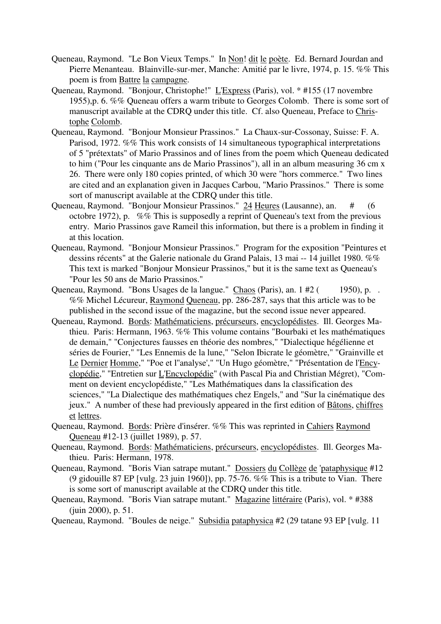- Queneau, Raymond. "Le Bon Vieux Temps." In Non! dit le poète. Ed. Bernard Jourdan and Pierre Menanteau. Blainville-sur-mer, Manche: Amitié par le livre, 1974, p. 15. %% This poem is from Battre la campagne.
- Queneau, Raymond. "Bonjour, Christophe!" L'Express (Paris), vol. \* #155 (17 novembre 1955),p. 6. %% Queneau offers a warm tribute to Georges Colomb. There is some sort of manuscript available at the CDRQ under this title. Cf. also Queneau, Preface to Christophe Colomb.
- Queneau, Raymond. "Bonjour Monsieur Prassinos." La Chaux-sur-Cossonay, Suisse: F. A. Parisod, 1972. %% This work consists of 14 simultaneous typographical interpretations of 5 "prétextats" of Mario Prassinos and of lines from the poem which Queneau dedicated to him ("Pour les cinquante ans de Mario Prassinos"), all in an album measuring 36 cm x 26. There were only 180 copies printed, of which 30 were "hors commerce." Two lines are cited and an explanation given in Jacques Carbou, "Mario Prassinos." There is some sort of manuscript available at the CDRQ under this title.
- Queneau, Raymond. "Bonjour Monsieur Prassinos." 24 Heures (Lausanne), an. # (6 octobre 1972), p. %% This is supposedly a reprint of Queneau's text from the previous entry. Mario Prassinos gave Rameil this information, but there is a problem in finding it at this location.
- Queneau, Raymond. "Bonjour Monsieur Prassinos." Program for the exposition "Peintures et dessins récents" at the Galerie nationale du Grand Palais, 13 mai -- 14 juillet 1980. %% This text is marked "Bonjour Monsieur Prassinos," but it is the same text as Queneau's "Pour les 50 ans de Mario Prassinos."
- Queneau, Raymond. "Bons Usages de la langue." Chaos (Paris), an. 1 #2 (1950), p. . %% Michel Lécureur, Raymond Queneau, pp. 286-287, says that this article was to be published in the second issue of the magazine, but the second issue never appeared.
- Queneau, Raymond. Bords: Mathématiciens, précurseurs, encyclopédistes. Ill. Georges Mathieu. Paris: Hermann, 1963. %% This volume contains "Bourbaki et les mathématiques de demain," "Conjectures fausses en théorie des nombres," "Dialectique hégélienne et séries de Fourier," "Les Ennemis de la lune," "Selon Ibicrate le géomètre," "Grainville et Le Dernier Homme," "Poe et l''analyse'," "Un Hugo géomètre," "Présentation de l'Encyclopédie," "Entretien sur L'Encyclopédie" (with Pascal Pia and Christian Mégret), "Comment on devient encyclopédiste," "Les Mathématiques dans la classification des sciences," "La Dialectique des mathématiques chez Engels," and "Sur la cinématique des jeux." A number of these had previously appeared in the first edition of Bâtons, chiffres et lettres.
- Queneau, Raymond. Bords: Prière d'insérer. %% This was reprinted in Cahiers Raymond Queneau #12-13 (juillet 1989), p. 57.
- Queneau, Raymond. Bords: Mathématiciens, précurseurs, encyclopédistes. Ill. Georges Mathieu. Paris: Hermann, 1978.
- Queneau, Raymond. "Boris Vian satrape mutant." Dossiers du Collège de 'pataphysique #12 (9 gidouille 87 EP [vulg. 23 juin 1960]), pp. 75-76. %% This is a tribute to Vian. There is some sort of manuscript available at the CDRQ under this title.
- Queneau, Raymond. "Boris Vian satrape mutant." Magazine littéraire (Paris), vol. \* #388 (juin 2000), p. 51.
- Queneau, Raymond. "Boules de neige." Subsidia pataphysica #2 (29 tatane 93 EP [vulg. 11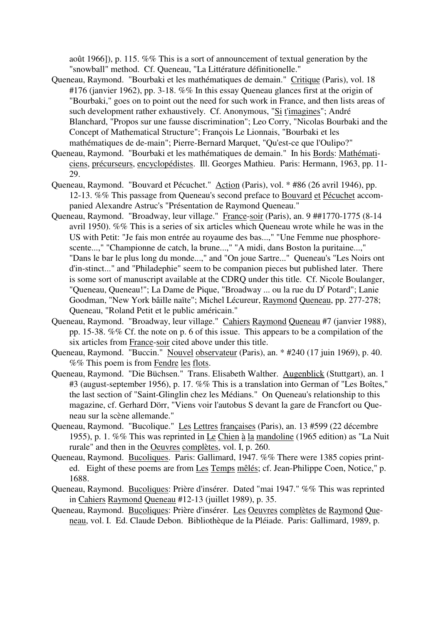août 1966]), p. 115. %% This is a sort of announcement of textual generation by the "snowball" method. Cf. Queneau, "La Littérature définitionelle."

- Queneau, Raymond. "Bourbaki et les mathématiques de demain." Critique (Paris), vol. 18 #176 (janvier 1962), pp. 3-18. %% In this essay Queneau glances first at the origin of "Bourbaki," goes on to point out the need for such work in France, and then lists areas of such development rather exhaustively. Cf. Anonymous, "Si t'imagines"; André Blanchard, "Propos sur une fausse discrimination"; Leo Corry, "Nicolas Bourbaki and the Concept of Mathematical Structure"; François Le Lionnais, "Bourbaki et les mathématiques de de-main"; Pierre-Bernard Marquet, "Qu'est-ce que l'Oulipo?"
- Queneau, Raymond. "Bourbaki et les mathématiques de demain." In his Bords: Mathématiciens, précurseurs, encyclopédistes. Ill. Georges Mathieu. Paris: Hermann, 1963, pp. 11- 29.
- Queneau, Raymond. "Bouvard et Pécuchet." Action (Paris), vol. \* #86 (26 avril 1946), pp. 12-13. %% This passage from Queneau's second preface to Bouvard et Pécuchet accompanied Alexandre Astruc's "Présentation de Raymond Queneau."
- Queneau, Raymond. "Broadway, leur village." France-soir (Paris), an. 9 ##1770-1775 (8-14 avril 1950). %% This is a series of six articles which Queneau wrote while he was in the US with Petit: "Je fais mon entrée au royaume des bas...," "Une Femme nue phosphorescente...," "Championne de catch, la brune...," "A midi, dans Boston la puritaine...," "Dans le bar le plus long du monde...," and "On joue Sartre..." Queneau's "Les Noirs ont d'in-stinct..." and "Philadephie" seem to be companion pieces but published later. There is some sort of manuscript available at the CDRQ under this title. Cf. Nicole Boulanger, "Queneau, Queneau!"; La Dame de Pique, "Broadway ... ou la rue du D<sup>r</sup> Potard"; Lanie Goodman, "New York bâille naïte"; Michel Lécureur, Raymond Queneau, pp. 277-278; Queneau, "Roland Petit et le public américain."
- Queneau, Raymond. "Broadway, leur village." Cahiers Raymond Queneau #7 (janvier 1988), pp. 15-38. %% Cf. the note on p. 6 of this issue. This appears to be a compilation of the six articles from France-soir cited above under this title.
- Queneau, Raymond. "Buccin." Nouvel observateur (Paris), an. \* #240 (17 juin 1969), p. 40. %% This poem is from Fendre les flots.
- Queneau, Raymond. "Die Büchsen." Trans. Elisabeth Walther. Augenblick (Stuttgart), an. 1 #3 (august-september 1956), p. 17. %% This is a translation into German of "Les Boîtes," the last section of "Saint-Glinglin chez les Médians." On Queneau's relationship to this magazine, cf. Gerhard Dörr, "Viens voir l'autobus S devant la gare de Francfort ou Queneau sur la scène allemande."
- Queneau, Raymond. "Bucolique." Les Lettres françaises (Paris), an. 13 #599 (22 décembre 1955), p. 1. %% This was reprinted in Le Chien à la mandoline (1965 edition) as "La Nuit rurale" and then in the Oeuvres complètes, vol. I, p. 260.
- Queneau, Raymond. Bucoliques. Paris: Gallimard, 1947. %% There were 1385 copies printed. Eight of these poems are from Les Temps mêlés; cf. Jean-Philippe Coen, Notice," p. 1688.
- Queneau, Raymond. Bucoliques: Prière d'insérer. Dated "mai 1947." %% This was reprinted in Cahiers Raymond Queneau #12-13 (juillet 1989), p. 35.
- Queneau, Raymond. Bucoliques: Prière d'insérer. Les Oeuvres complètes de Raymond Queneau, vol. I. Ed. Claude Debon. Bibliothèque de la Pléiade. Paris: Gallimard, 1989, p.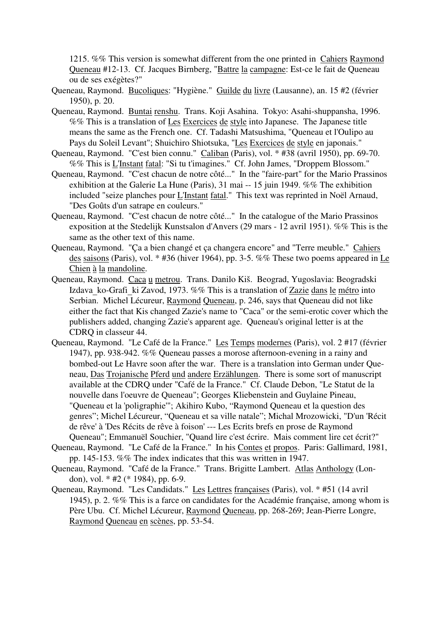1215. %% This version is somewhat different from the one printed in Cahiers Raymond Queneau #12-13. Cf. Jacques Birnberg, "Battre la campagne: Est-ce le fait de Queneau ou de ses exégètes?"

- Queneau, Raymond. Bucoliques: "Hygiène." Guilde du livre (Lausanne), an. 15 #2 (février 1950), p. 20.
- Queneau, Raymond. Buntai renshu. Trans. Koji Asahina. Tokyo: Asahi-shuppansha, 1996. %% This is a translation of Les Exercices de style into Japanese. The Japanese title means the same as the French one. Cf. Tadashi Matsushima, "Queneau et l'Oulipo au Pays du Soleil Levant"; Shuichiro Shiotsuka, "Les Exercices de style en japonais."
- Queneau, Raymond. "C'est bien connu." Caliban (Paris), vol. \* #38 (avril 1950), pp. 69-70. %% This is L'Instant fatal: "Si tu t'imagines." Cf. John James, "Droppem Blossom."
- Queneau, Raymond. "C'est chacun de notre côté..." In the "faire-part" for the Mario Prassinos exhibition at the Galerie La Hune (Paris), 31 mai -- 15 juin 1949. %% The exhibition included "seize planches pour *L'Instant fatal*." This text was reprinted in Noël Arnaud, "Des Goûts d'un satrape en couleurs."
- Queneau, Raymond. "C'est chacun de notre côté..." In the catalogue of the Mario Prassinos exposition at the Stedelijk Kunstsalon d'Anvers (29 mars - 12 avril 1951). %% This is the same as the other text of this name.
- Queneau, Raymond. "Ça a bien changé et ça changera encore" and "Terre meuble." Cahiers des saisons (Paris), vol. \* #36 (hiver 1964), pp. 3-5. %% These two poems appeared in Le Chien à la mandoline.
- Queneau, Raymond. Caca u metrou. Trans. Danilo Kiš. Beograd, Yugoslavia: Beogradski Izdava ko-Grafi ki Zavod, 1973. %% This is a translation of Zazie dans le métro into Serbian. Michel Lécureur, Raymond Queneau, p. 246, says that Queneau did not like either the fact that Kis changed Zazie's name to "Caca" or the semi-erotic cover which the publishers added, changing Zazie's apparent age. Queneau's original letter is at the CDRQ in classeur 44.
- Queneau, Raymond. "Le Café de la France." Les Temps modernes (Paris), vol. 2 #17 (février 1947), pp. 938-942. %% Queneau passes a morose afternoon-evening in a rainy and bombed-out Le Havre soon after the war. There is a translation into German under Queneau, Das Trojanische Pferd und andere Erzählungen. There is some sort of manuscript available at the CDRQ under "Café de la France." Cf. Claude Debon, "Le Statut de la nouvelle dans l'oeuvre de Queneau"; Georges Kliebenstein and Guylaine Pineau, "Queneau et la 'poligraphie'"; Akihiro Kubo, "Raymond Queneau et la question des genres"; Michel Lécureur, "Queneau et sa ville natale"; Michal Mrozowicki, "D'un 'Récit de rêve' à 'Des Récits de rêve à foison' --- Les Ecrits brefs en prose de Raymond Queneau"; Emmanuël Souchier, "Quand lire c'est écrire. Mais comment lire cet écrit?"
- Queneau, Raymond. "Le Café de la France." In his Contes et propos. Paris: Gallimard, 1981, pp. 145-153. %% The index indicates that this was written in 1947.
- Queneau, Raymond. "Café de la France." Trans. Brigitte Lambert. Atlas Anthology (London), vol. \* #2 (\* 1984), pp. 6-9.
- Queneau, Raymond. "Les Candidats." Les Lettres françaises (Paris), vol. \* #51 (14 avril 1945), p. 2. %% This is a farce on candidates for the Académie française, among whom is Père Ubu. Cf. Michel Lécureur, Raymond Queneau, pp. 268-269; Jean-Pierre Longre, Raymond Queneau en scènes, pp. 53-54.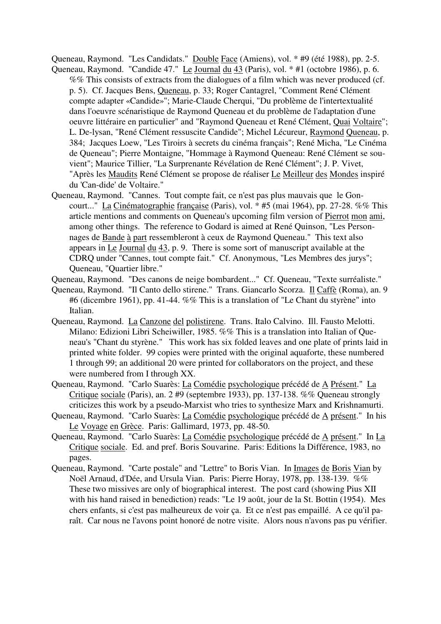Queneau, Raymond. "Les Candidats." Double Face (Amiens), vol. \* #9 (été 1988), pp. 2-5. Queneau, Raymond. "Candide 47." Le Journal du 43 (Paris), vol. \* #1 (octobre 1986), p. 6.

- %% This consists of extracts from the dialogues of a film which was never produced (cf. p. 5). Cf. Jacques Bens, Queneau, p. 33; Roger Cantagrel, "Comment René Clément compte adapter «Candide»"; Marie-Claude Cherqui, "Du problème de l'intertextualité dans l'oeuvre scénaristique de Raymond Queneau et du problème de l'adaptation d'une oeuvre littéraire en particulier" and "Raymond Queneau et René Clément, Quai Voltaire"; L. De-lysan, "René Clément ressuscite Candide"; Michel Lécureur, Raymond Queneau, p. 384; Jacques Loew, "Les Tiroirs à secrets du cinéma français"; René Micha, "Le Cinéma de Queneau"; Pierre Montaigne, "Hommage à Raymond Queneau: René Clément se souvient"; Maurice Tillier, "La Surprenante Révélation de René Clément"; J. P. Vivet, "Après les Maudits René Clément se propose de réaliser Le Meilleur des Mondes inspiré du 'Can-dide' de Voltaire."
- Queneau, Raymond. "Cannes. Tout compte fait, ce n'est pas plus mauvais que le Goncourt..." La Cinématographie française (Paris), vol. \* #5 (mai 1964), pp. 27-28. %% This article mentions and comments on Queneau's upcoming film version of Pierrot mon ami, among other things. The reference to Godard is aimed at René Quinson, "Les Personnages de Bande à part ressembleront à ceux de Raymond Queneau." This text also appears in Le Journal du 43, p. 9. There is some sort of manuscript available at the CDRQ under "Cannes, tout compte fait." Cf. Anonymous, "Les Membres des jurys"; Queneau, "Quartier libre."
- Queneau, Raymond. "Des canons de neige bombardent..." Cf. Queneau, "Texte surréaliste."
- Queneau, Raymond. "Il Canto dello stirene." Trans. Giancarlo Scorza. Il Caffè (Roma), an. 9 #6 (dicembre 1961), pp. 41-44. %% This is a translation of "Le Chant du styrène" into Italian.
- Queneau, Raymond. La Canzone del polistirene. Trans. Italo Calvino. Ill. Fausto Melotti. Milano: Edizioni Libri Scheiwiller, 1985. %% This is a translation into Italian of Queneau's "Chant du styrène." This work has six folded leaves and one plate of prints laid in printed white folder. 99 copies were printed with the original aquaforte, these numbered 1 through 99; an additional 20 were printed for collaborators on the project, and these were numbered from I through XX.
- Queneau, Raymond. "Carlo Suarès: La Comédie psychologique précédé de A Présent." La Critique sociale (Paris), an. 2 #9 (septembre 1933), pp. 137-138. %% Queneau strongly criticizes this work by a pseudo-Marxist who tries to synthesize Marx and Krishnamurti.
- Queneau, Raymond. "Carlo Suarès: La Comédie psychologique précédé de A présent." In his Le Voyage en Grèce. Paris: Gallimard, 1973, pp. 48-50.
- Queneau, Raymond. "Carlo Suarès: La Comédie psychologique précédé de A présent." In La Critique sociale. Ed. and pref. Boris Souvarine. Paris: Editions la Différence, 1983, no pages.
- Queneau, Raymond. "Carte postale" and "Lettre" to Boris Vian. In Images de Boris Vian by Noël Arnaud, d'Dée, and Ursula Vian. Paris: Pierre Horay, 1978, pp. 138-139. %% These two missives are only of biographical interest. The post card (showing Pius XII with his hand raised in benediction) reads: "Le 19 août, jour de la St. Bottin (1954). Mes chers enfants, si c'est pas malheureux de voir ça. Et ce n'est pas empaillé. A ce qu'il paraît. Car nous ne l'avons point honoré de notre visite. Alors nous n'avons pas pu vérifier.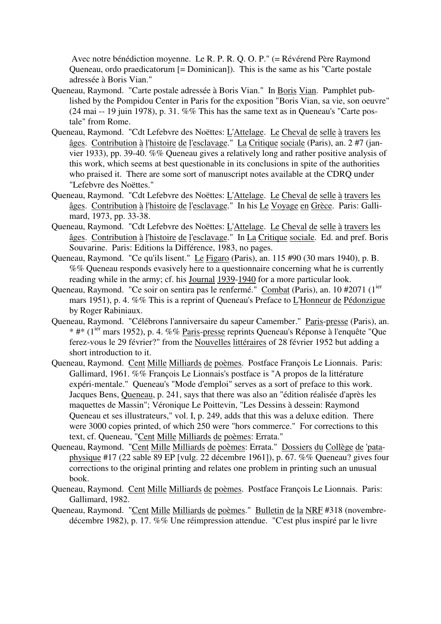Avec notre bénédiction moyenne. Le R. P. R. Q. O. P." (= Révérend Père Raymond Queneau, ordo praedicatorum [= Dominican]). This is the same as his "Carte postale adressée à Boris Vian."

- Queneau, Raymond. "Carte postale adressée à Boris Vian." In Boris Vian. Pamphlet published by the Pompidou Center in Paris for the exposition "Boris Vian, sa vie, son oeuvre" (24 mai -- 19 juin 1978), p. 31. %% This has the same text as in Queneau's "Carte postale" from Rome.
- Queneau, Raymond. "Cdt Lefebvre des Noëttes: L'Attelage. Le Cheval de selle à travers les âges. Contribution à l'histoire de l'esclavage." La Critique sociale (Paris), an. 2 #7 (janvier 1933), pp. 39-40. %% Queneau gives a relatively long and rather positive analysis of this work, which seems at best questionable in its conclusions in spite of the authorities who praised it. There are some sort of manuscript notes available at the CDRQ under "Lefebvre des Noëttes."
- Queneau, Raymond. "Cdt Lefebvre des Noëttes: L'Attelage. Le Cheval de selle à travers les âges. Contribution à l'histoire de l'esclavage." In his Le Voyage en Grèce. Paris: Gallimard, 1973, pp. 33-38.
- Queneau, Raymond. "Cdt Lefebvre des Noëttes: L'Attelage. Le Cheval de selle à travers les âges. Contribution à l'histoire de l'esclavage." In La Critique sociale. Ed. and pref. Boris Souvarine. Paris: Editions la Différence, 1983, no pages.
- Queneau, Raymond. "Ce qu'ils lisent." Le Figaro (Paris), an. 115 #90 (30 mars 1940), p. B. %% Queneau responds evasively here to a questionnaire concerning what he is currently reading while in the army; cf. his Journal 1939-1940 for a more particular look.
- Queneau, Raymond. "Ce soir on sentira pas le renfermé." Combat (Paris), an. 10 #2071 (1<sup>ier</sup> mars 1951), p. 4. %% This is a reprint of Queneau's Preface to L'Honneur de Pédonzigue by Roger Rabiniaux.
- Queneau, Raymond. "Célébrons l'anniversaire du sapeur Camember." Paris-presse (Paris), an. \* #\* (1ier mars 1952), p. 4. %% Paris-presse reprints Queneau's Réponse à l'enquête "Que ferez-vous le 29 février?" from the Nouvelles littéraires of 28 février 1952 but adding a short introduction to it.
- Queneau, Raymond. Cent Mille Milliards de poèmes. Postface François Le Lionnais. Paris: Gallimard, 1961. %% François Le Lionnais's postface is "A propos de la littérature expéri-mentale." Queneau's "Mode d'emploi" serves as a sort of preface to this work. Jacques Bens, Queneau, p. 241, says that there was also an "édition réalisée d'après les maquettes de Massin"; Véronique Le Poittevin, "Les Dessins à dessein: Raymond Queneau et ses illustrateurs," vol. I, p. 249, adds that this was a deluxe edition. There were 3000 copies printed, of which 250 were "hors commerce." For corrections to this text, cf. Queneau, "Cent Mille Milliards de poèmes: Errata."
- Queneau, Raymond. "Cent Mille Milliards de poèmes: Errata." Dossiers du Collège de 'pataphysique #17 (22 sable 89 EP [vulg. 22 décembre 1961]), p. 67. %% Queneau? gives four corrections to the original printing and relates one problem in printing such an unusual book.
- Queneau, Raymond. Cent Mille Milliards de poèmes. Postface François Le Lionnais. Paris: Gallimard, 1982.
- Queneau, Raymond. "Cent Mille Milliards de poèmes." Bulletin de la NRF #318 (novembredécembre 1982), p. 17. %% Une réimpression attendue. "C'est plus inspiré par le livre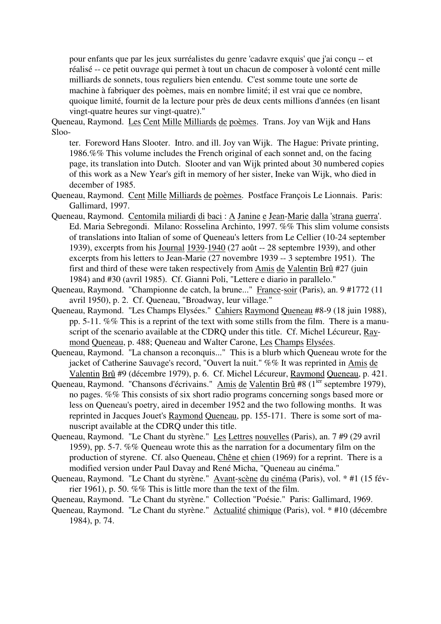pour enfants que par les jeux surréalistes du genre 'cadavre exquis' que j'ai conçu -- et réalisé -- ce petit ouvrage qui permet à tout un chacun de composer à volonté cent mille milliards de sonnets, tous reguliers bien entendu. C'est somme toute une sorte de machine à fabriquer des poèmes, mais en nombre limité; il est vrai que ce nombre, quoique limité, fournit de la lecture pour près de deux cents millions d'années (en lisant vingt-quatre heures sur vingt-quatre)."

Queneau, Raymond. Les Cent Mille Milliards de poèmes. Trans. Joy van Wijk and Hans Sloo-

ter. Foreword Hans Slooter. Intro. and ill. Joy van Wijk. The Hague: Private printing, 1986.%% This volume includes the French original of each sonnet and, on the facing page, its translation into Dutch. Slooter and van Wijk printed about 30 numbered copies of this work as a New Year's gift in memory of her sister, Ineke van Wijk, who died in december of 1985.

- Queneau, Raymond. Cent Mille Milliards de poèmes. Postface François Le Lionnais. Paris: Gallimard, 1997.
- Queneau, Raymond. Centomila miliardi di baci : A Janine e Jean-Marie dalla 'strana guerra'. Ed. Maria Sebregondi. Milano: Rosselina Archinto, 1997. %% This slim volume consists of translations into Italian of some of Queneau's letters from Le Cellier (10-24 september 1939), excerpts from his Journal 1939-1940 (27 août -- 28 septembre 1939), and other excerpts from his letters to Jean-Marie (27 novembre 1939 -- 3 septembre 1951). The first and third of these were taken respectively from Amis de Valentin Brû #27 (juin 1984) and #30 (avril 1985). Cf. Gianni Poli, "Lettere e diario in parallelo."
- Queneau, Raymond. "Championne de catch, la brune..." France-soir (Paris), an. 9 #1772 (11 avril 1950), p. 2. Cf. Queneau, "Broadway, leur village."
- Queneau, Raymond. "Les Champs Elysées." Cahiers Raymond Queneau #8-9 (18 juin 1988), pp. 5-11. %% This is a reprint of the text with some stills from the film. There is a manuscript of the scenario available at the CDRQ under this title. Cf. Michel Lécureur, Raymond Queneau, p. 488; Queneau and Walter Carone, Les Champs Elysées.
- Queneau, Raymond. "La chanson a reconquis..." This is a blurb which Queneau wrote for the jacket of Catherine Sauvage's record, "Ouvert la nuit." %% It was reprinted in Amis de Valentin Brû #9 (décembre 1979), p. 6. Cf. Michel Lécureur, Raymond Queneau, p. 421.
- Queneau, Raymond. "Chansons d'écrivains." Amis de Valentin Brû #8 (1<sup>ier</sup> septembre 1979), no pages. %% This consists of six short radio programs concerning songs based more or less on Queneau's poetry, aired in december 1952 and the two following months. It was reprinted in Jacques Jouet's Raymond Queneau, pp. 155-171. There is some sort of manuscript available at the CDRQ under this title.
- Queneau, Raymond. "Le Chant du styrène." Les Lettres nouvelles (Paris), an. 7 #9 (29 avril 1959), pp. 5-7. %% Queneau wrote this as the narration for a documentary film on the production of styrene. Cf. also Queneau, Chêne et chien (1969) for a reprint. There is a modified version under Paul Davay and René Micha, "Queneau au cinéma."
- Queneau, Raymond. "Le Chant du styrène." Avant-scène du cinéma (Paris), vol. \* #1 (15 février 1961), p. 50. %% This is little more than the text of the film.
- Queneau, Raymond. "Le Chant du styrène." Collection "Poésie." Paris: Gallimard, 1969.
- Queneau, Raymond. "Le Chant du styrène." Actualité chimique (Paris), vol. \* #10 (décembre 1984), p. 74.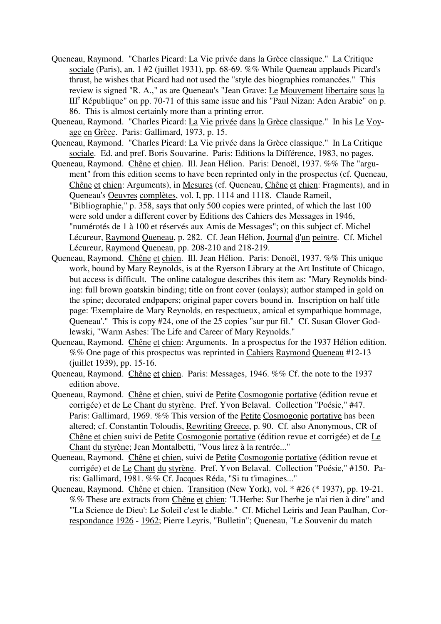- Queneau, Raymond. "Charles Picard: La Vie privée dans la Grèce classique." La Critique sociale (Paris), an. 1 #2 (juillet 1931), pp. 68-69. %% While Queneau applauds Picard's thrust, he wishes that Picard had not used the "style des biographies romancées." This review is signed "R. A.," as are Queneau's "Jean Grave: Le Mouvement libertaire sous la III<sup>e</sup> République" on pp. 70-71 of this same issue and his "Paul Nizan: Aden Arabie" on p. 86. This is almost certainly more than a printing error.
- Queneau, Raymond. "Charles Picard: La Vie privée dans la Grèce classique." In his Le Voyage en Grèce. Paris: Gallimard, 1973, p. 15.
- Queneau, Raymond. "Charles Picard: La Vie privée dans la Grèce classique." In La Critique sociale. Ed. and pref. Boris Souvarine. Paris: Editions la Différence, 1983, no pages.
- Queneau, Raymond. Chêne et chien. Ill. Jean Hélion. Paris: Denoël, 1937. %% The "argument" from this edition seems to have been reprinted only in the prospectus (cf. Queneau, Chêne et chien: Arguments), in Mesures (cf. Queneau, Chêne et chien: Fragments), and in Queneau's Oeuvres complètes, vol. I, pp. 1114 and 1118. Claude Rameil, "Bibliographie," p. 358, says that only 500 copies were printed, of which the last 100 were sold under a different cover by Editions des Cahiers des Messages in 1946, "numérotés de 1 à 100 et réservés aux Amis de Messages"; on this subject cf. Michel Lécureur, Raymond Queneau, p. 282. Cf. Jean Hélion, Journal d'un peintre. Cf. Michel Lécureur, Raymond Queneau, pp. 208-210 and 218-219.
- Queneau, Raymond. Chêne et chien. Ill. Jean Hélion. Paris: Denoël, 1937. %% This unique work, bound by Mary Reynolds, is at the Ryerson Library at the Art Institute of Chicago, but access is difficult. The online catalogue describes this item as: "Mary Reynolds binding: full brown goatskin binding; title on front cover (onlays); author stamped in gold on the spine; decorated endpapers; original paper covers bound in. Inscription on half title page: 'Exemplaire de Mary Reynolds, en respectueux, amical et sympathique hommage, Queneau'." This is copy #24, one of the 25 copies "sur pur fil." Cf. Susan Glover Godlewski, "Warm Ashes: The Life and Career of Mary Reynolds."
- Queneau, Raymond. Chêne et chien: Arguments. In a prospectus for the 1937 Hélion edition. %% One page of this prospectus was reprinted in Cahiers Raymond Queneau #12-13 (juillet 1939), pp. 15-16.
- Queneau, Raymond. Chêne et chien. Paris: Messages, 1946. %% Cf. the note to the 1937 edition above.
- Queneau, Raymond. Chêne et chien, suivi de Petite Cosmogonie portative (édition revue et corrigée) et de Le Chant du styrène. Pref. Yvon Belaval. Collection "Poésie," #47. Paris: Gallimard, 1969. %% This version of the Petite Cosmogonie portative has been altered; cf. Constantin Toloudis, Rewriting Greece, p. 90. Cf. also Anonymous, CR of Chêne et chien suivi de Petite Cosmogonie portative (édition revue et corrigée) et de Le Chant du styrène; Jean Montalbetti, "Vous lirez à la rentrée..."
- Queneau, Raymond. Chêne et chien, suivi de Petite Cosmogonie portative (édition revue et corrigée) et de Le Chant du styrène. Pref. Yvon Belaval. Collection "Poésie," #150. Paris: Gallimard, 1981. %% Cf. Jacques Réda, "Si tu t'imagines..."
- Queneau, Raymond. Chêne et chien. Transition (New York), vol. \* #26 (\* 1937), pp. 19-21. %% These are extracts from Chêne et chien: "L'Herbe: Sur l'herbe je n'ai rien à dire" and "'La Science de Dieu': Le Soleil c'est le diable." Cf. Michel Leiris and Jean Paulhan, Correspondance 1926 - 1962; Pierre Leyris, "Bulletin"; Queneau, "Le Souvenir du match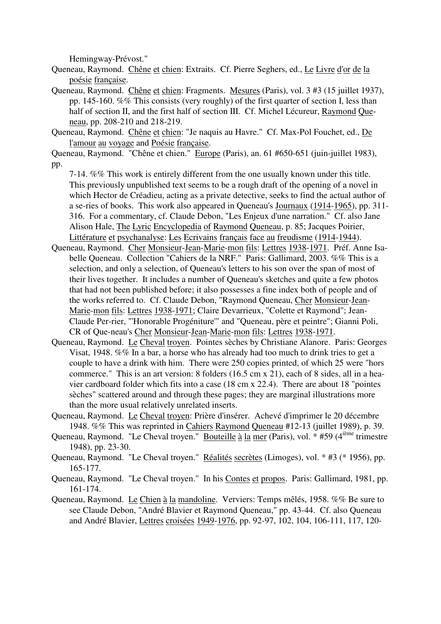Hemingway-Prévost."

Queneau, Raymond. Chêne et chien: Extraits. Cf. Pierre Seghers, ed., Le Livre d'or de la poésie française.

- Queneau, Raymond. Chêne et chien: Fragments. Mesures (Paris), vol. 3 #3 (15 juillet 1937), pp. 145-160. %% This consists (very roughly) of the first quarter of section I, less than half of section II, and the first half of section III. Cf. Michel Lécureur, Raymond Queneau, pp. 208-210 and 218-219.
- Queneau, Raymond. Chêne et chien: "Je naquis au Havre." Cf. Max-Pol Fouchet, ed., De l'amour au voyage and Poésie française.

Queneau, Raymond. "Chêne et chien." Europe (Paris), an. 61 #650-651 (juin-juillet 1983), pp.

7-14. %% This work is entirely different from the one usually known under this title. This previously unpublished text seems to be a rough draft of the opening of a novel in which Hector de Créadieu, acting as a private detective, seeks to find the actual author of a se-ries of books. This work also appeared in Queneau's Journaux (1914-1965), pp. 311- 316. For a commentary, cf. Claude Debon, "Les Enjeux d'une narration." Cf. also Jane Alison Hale, The Lyric Encyclopedia of Raymond Queneau, p. 85; Jacques Poirier, Littérature et psychanalyse: Les Ecrivains français face au freudisme (1914-1944).

- Queneau, Raymond. Cher Monsieur-Jean-Marie-mon fils: Lettres 1938-1971. Préf. Anne Isabelle Queneau. Collection "Cahiers de la NRF." Paris: Gallimard, 2003. %% This is a selection, and only a selection, of Queneau's letters to his son over the span of most of their lives together. It includes a number of Queneau's sketches and quite a few photos that had not been published before; it also possesses a fine index both of people and of the works referred to. Cf. Claude Debon, "Raymond Queneau, Cher Monsieur-Jean-Marie-mon fils: Lettres 1938-1971; Claire Devarrieux, "Colette et Raymond"; Jean-Claude Per-rier, "'Honorable Progéniture'" and "Queneau, père et peintre"; Gianni Poli, CR of Que-neau's Cher Monsieur-Jean-Marie-mon fils: Lettres 1938-1971.
- Queneau, Raymond. Le Cheval troyen. Pointes sèches by Christiane Alanore. Paris: Georges Visat, 1948. %% In a bar, a horse who has already had too much to drink tries to get a couple to have a drink with him. There were 250 copies printed, of which 25 were "hors commerce." This is an art version: 8 folders (16.5 cm x 21), each of 8 sides, all in a heavier cardboard folder which fits into a case (18 cm x 22.4). There are about 18 "pointes sèches" scattered around and through these pages; they are marginal illustrations more than the more usual relatively unrelated inserts.
- Queneau, Raymond. Le Cheval troyen: Prière d'insérer. Achevé d'imprimer le 20 décembre 1948. %% This was reprinted in Cahiers Raymond Queneau #12-13 (juillet 1989), p. 39.
- Queneau, Raymond. "Le Cheval troyen." Bouteille à la mer (Paris), vol. \* #59 (4<sup>ième</sup> trimestre 1948), pp. 23-30.
- Queneau, Raymond. "Le Cheval troyen." Réalités secrètes (Limoges), vol. \* #3 (\* 1956), pp. 165-177.
- Queneau, Raymond. "Le Cheval troyen." In his Contes et propos. Paris: Gallimard, 1981, pp. 161-174.
- Queneau, Raymond. Le Chien à la mandoline. Verviers: Temps mêlés, 1958. %% Be sure to see Claude Debon, "André Blavier et Raymond Queneau," pp. 43-44. Cf. also Queneau and André Blavier, Lettres croisées 1949-1976, pp. 92-97, 102, 104, 106-111, 117, 120-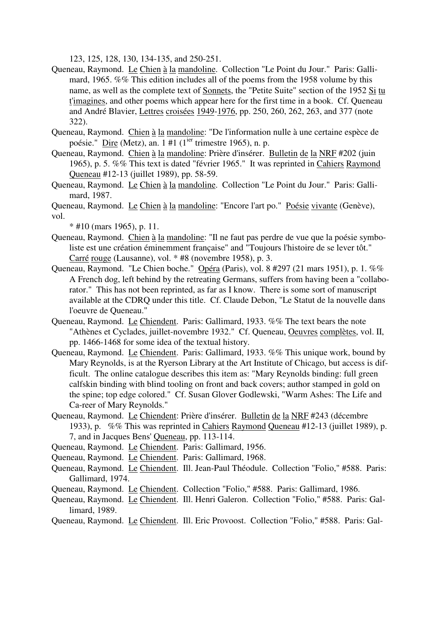123, 125, 128, 130, 134-135, and 250-251.

- Queneau, Raymond. Le Chien à la mandoline. Collection "Le Point du Jour." Paris: Gallimard, 1965. %% This edition includes all of the poems from the 1958 volume by this name, as well as the complete text of Sonnets, the "Petite Suite" section of the 1952 Si tu t'imagines, and other poems which appear here for the first time in a book. Cf. Queneau and André Blavier, Lettres croisées 1949-1976, pp. 250, 260, 262, 263, and 377 (note 322).
- Queneau, Raymond. Chien à la mandoline: "De l'information nulle à une certaine espèce de poésie." Dire (Metz), an. 1 #1 ( $1^{ier}$  trimestre 1965), n. p.
- Queneau, Raymond. Chien à la mandoline: Prière d'insérer. Bulletin de la NRF #202 (juin 1965), p. 5. %% This text is dated "février 1965." It was reprinted in Cahiers Raymond Queneau #12-13 (juillet 1989), pp. 58-59.
- Queneau, Raymond. Le Chien à la mandoline. Collection "Le Point du Jour." Paris: Gallimard, 1987.

Queneau, Raymond. Le Chien à la mandoline: "Encore l'art po." Poésie vivante (Genève), vol.

 $*$  #10 (mars 1965), p. 11.

- Queneau, Raymond. Chien à la mandoline: "Il ne faut pas perdre de vue que la poésie symboliste est une création éminemment française" and "Toujours l'histoire de se lever tôt." Carré rouge (Lausanne), vol. \* #8 (novembre 1958), p. 3.
- Queneau, Raymond. "Le Chien boche." Opéra (Paris), vol. 8 #297 (21 mars 1951), p. 1. %% A French dog, left behind by the retreating Germans, suffers from having been a "collaborator." This has not been reprinted, as far as I know. There is some sort of manuscript available at the CDRQ under this title. Cf. Claude Debon, "Le Statut de la nouvelle dans l'oeuvre de Queneau."
- Queneau, Raymond. Le Chiendent. Paris: Gallimard, 1933. %% The text bears the note "Athènes et Cyclades, juillet-novembre 1932." Cf. Queneau, Oeuvres complètes, vol. II, pp. 1466-1468 for some idea of the textual history.
- Queneau, Raymond. Le Chiendent. Paris: Gallimard, 1933. %% This unique work, bound by Mary Reynolds, is at the Ryerson Library at the Art Institute of Chicago, but access is difficult. The online catalogue describes this item as: "Mary Reynolds binding: full green calfskin binding with blind tooling on front and back covers; author stamped in gold on the spine; top edge colored." Cf. Susan Glover Godlewski, "Warm Ashes: The Life and Ca-reer of Mary Reynolds."
- Queneau, Raymond. Le Chiendent: Prière d'insérer. Bulletin de la NRF #243 (décembre 1933), p. %% This was reprinted in Cahiers Raymond Queneau #12-13 (juillet 1989), p. 7, and in Jacques Bens' Queneau, pp. 113-114.

Queneau, Raymond. Le Chiendent. Paris: Gallimard, 1956.

Queneau, Raymond. Le Chiendent. Paris: Gallimard, 1968.

- Queneau, Raymond. Le Chiendent. Ill. Jean-Paul Théodule. Collection "Folio," #588. Paris: Gallimard, 1974.
- Queneau, Raymond. Le Chiendent. Collection "Folio," #588. Paris: Gallimard, 1986.
- Queneau, Raymond. Le Chiendent. Ill. Henri Galeron. Collection "Folio," #588. Paris: Gallimard, 1989.
- Queneau, Raymond. Le Chiendent. Ill. Eric Provoost. Collection "Folio," #588. Paris: Gal-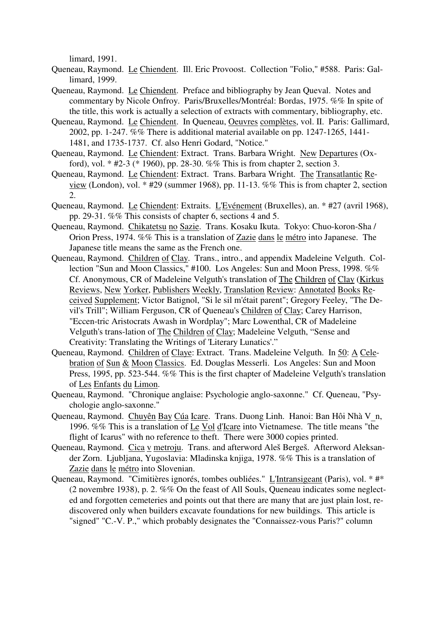limard, 1991.

- Queneau, Raymond. Le Chiendent. Ill. Eric Provoost. Collection "Folio," #588. Paris: Gallimard, 1999.
- Queneau, Raymond. Le Chiendent. Preface and bibliography by Jean Queval. Notes and commentary by Nicole Onfroy. Paris/Bruxelles/Montréal: Bordas, 1975. %% In spite of the title, this work is actually a selection of extracts with commentary, bibliography, etc.
- Queneau, Raymond. Le Chiendent. In Queneau, Oeuvres complètes, vol. II. Paris: Gallimard, 2002, pp. 1-247. %% There is additional material available on pp. 1247-1265, 1441- 1481, and 1735-1737. Cf. also Henri Godard, "Notice."
- Queneau, Raymond. Le Chiendent: Extract. Trans. Barbara Wright. New Departures (Oxford), vol. \* #2-3 (\* 1960), pp. 28-30. %% This is from chapter 2, section 3.
- Queneau, Raymond. Le Chiendent: Extract. Trans. Barbara Wright. The Transatlantic Review (London), vol. \* #29 (summer 1968), pp. 11-13. %% This is from chapter 2, section 2.
- Queneau, Raymond. Le Chiendent: Extraits. L'Evénement (Bruxelles), an. \* #27 (avril 1968), pp. 29-31. %% This consists of chapter 6, sections 4 and 5.
- Queneau, Raymond. Chikatetsu no Sazie. Trans. Kosaku Ikuta. Tokyo: Chuo-koron-Sha / Orion Press, 1974. %% This is a translation of Zazie dans le métro into Japanese. The Japanese title means the same as the French one.
- Queneau, Raymond. Children of Clay. Trans., intro., and appendix Madeleine Velguth. Collection "Sun and Moon Classics," #100. Los Angeles: Sun and Moon Press, 1998. %% Cf. Anonymous, CR of Madeleine Velguth's translation of The Children of Clay (Kirkus Reviews, New Yorker, Publishers Weekly, Translation Review: Annotated Books Received Supplement; Victor Batignol, "Si le sil m'était parent"; Gregory Feeley, "The Devil's Trill"; William Ferguson, CR of Queneau's Children of Clay; Carey Harrison, "Eccen-tric Aristocrats Awash in Wordplay"; Marc Lowenthal, CR of Madeleine Velguth's trans-lation of The Children of Clay; Madeleine Velguth, "Sense and Creativity: Translating the Writings of 'Literary Lunatics'."
- Queneau, Raymond. Children of Claye: Extract. Trans. Madeleine Velguth. In 50: A Celebration of Sun & Moon Classics. Ed. Douglas Messerli. Los Angeles: Sun and Moon Press, 1995, pp. 523-544. %% This is the first chapter of Madeleine Velguth's translation of Les Enfants du Limon.
- Queneau, Raymond. "Chronique anglaise: Psychologie anglo-saxonne." Cf. Queneau, "Psychologie anglo-saxonne."
- Queneau, Raymond. Chuyên Bay Cúa Icare. Trans. Duong Linh. Hanoi: Ban Hôi Nhà V n, 1996. %% This is a translation of Le Vol d'Icare into Vietnamese. The title means "the flight of Icarus" with no reference to theft. There were 3000 copies printed.
- Queneau, Raymond. Cica v metroju. Trans. and afterword Aleš Bergeš. Afterword Aleksander Zorn. Ljubljana, Yugoslavia: Mladinska knjiga, 1978. %% This is a translation of Zazie dans le métro into Slovenian.
- Queneau, Raymond. "Cimitières ignorés, tombes oubliées." L'Intransigeant (Paris), vol. \* #\* (2 novembre 1938), p. 2. %% On the feast of All Souls, Queneau indicates some neglected and forgotten cemeteries and points out that there are many that are just plain lost, rediscovered only when builders excavate foundations for new buildings. This article is "signed" "C.-V. P.," which probably designates the "Connaissez-vous Paris?" column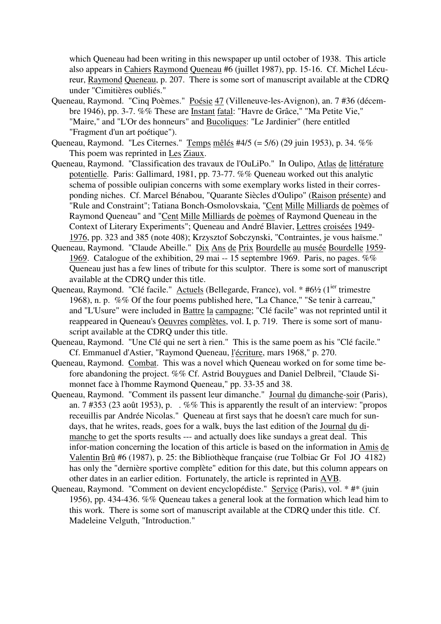which Queneau had been writing in this newspaper up until october of 1938. This article also appears in Cahiers Raymond Queneau #6 (juillet 1987), pp. 15-16. Cf. Michel Lécureur, Raymond Queneau, p. 207. There is some sort of manuscript available at the CDRQ under "Cimitières oubliés."

- Queneau, Raymond. "Cinq Poèmes." Poésie 47 (Villeneuve-les-Avignon), an. 7 #36 (décembre 1946), pp. 3-7. %% These are Instant fatal: "Havre de Grâce," "Ma Petite Vie," "Maire," and "L'Or des honneurs" and Bucoliques: "Le Jardinier" (here entitled "Fragment d'un art poétique").
- Queneau, Raymond. "Les Citernes." Temps mêlés #4/5 (= 5/6) (29 juin 1953), p. 34. %% This poem was reprinted in Les Ziaux.
- Queneau, Raymond. "Classification des travaux de l'OuLiPo." In Oulipo, Atlas de littérature potentielle. Paris: Gallimard, 1981, pp. 73-77. %% Queneau worked out this analytic schema of possible oulipian concerns with some exemplary works listed in their corresponding niches. Cf. Marcel Bénabou, "Quarante Siècles d'Oulipo" (Raison présente) and "Rule and Constraint"; Tatiana Bonch-Osmolovskaia, "Cent Mille Milliards de poèmes of Raymond Queneau" and "Cent Mille Milliards de poèmes of Raymond Queneau in the Context of Literary Experiments"; Queneau and André Blavier, Lettres croisées 1949- 1976, pp. 323 and 385 (note 408); Krzysztof Sobczynski, "Contraintes, je vous haïsme."
- Queneau, Raymond. "Claude Abeille." Dix Ans de Prix Bourdelle au musée Bourdelle 1959- 1969. Catalogue of the exhibition, 29 mai -- 15 septembre 1969. Paris, no pages. %% Queneau just has a few lines of tribute for this sculptor. There is some sort of manuscript available at the CDRQ under this title.
- Queneau, Raymond. "Clé facile." Actuels (Bellegarde, France), vol. \* #6½ (1<sup>ier</sup> trimestre 1968), n. p. %% Of the four poems published here, "La Chance," "Se tenir à carreau," and "L'Usure" were included in Battre la campagne; "Clé facile" was not reprinted until it reappeared in Queneau's Oeuvres complètes, vol. I, p. 719. There is some sort of manuscript available at the CDRQ under this title.
- Queneau, Raymond. "Une Clé qui ne sert à rien." This is the same poem as his "Clé facile." Cf. Emmanuel d'Astier, "Raymond Queneau, l'écriture, mars 1968," p. 270.
- Queneau, Raymond. Combat. This was a novel which Queneau worked on for some time before abandoning the project. %% Cf. Astrid Bouygues and Daniel Delbreil, "Claude Simonnet face à l'homme Raymond Queneau," pp. 33-35 and 38.
- Queneau, Raymond. "Comment ils passent leur dimanche." Journal du dimanche-soir (Paris), an. 7 #353 (23 août 1953), p. . %% This is apparently the result of an interview: "propos receuillis par Andrée Nicolas." Queneau at first says that he doesn't care much for sundays, that he writes, reads, goes for a walk, buys the last edition of the Journal du dimanche to get the sports results --- and actually does like sundays a great deal. This infor-mation concerning the location of this article is based on the information in Amis de Valentin Brû #6 (1987), p. 25: the Bibliothèque française (rue Tolbiac Gr Fol JO 4182) has only the "dernière sportive complète" edition for this date, but this column appears on other dates in an earlier edition. Fortunately, the article is reprinted in AVB.
- Queneau, Raymond. "Comment on devient encyclopédiste." Service (Paris), vol. \* #\* (juin 1956), pp. 434-436. %% Queneau takes a general look at the formation which lead him to this work. There is some sort of manuscript available at the CDRQ under this title. Cf. Madeleine Velguth, "Introduction."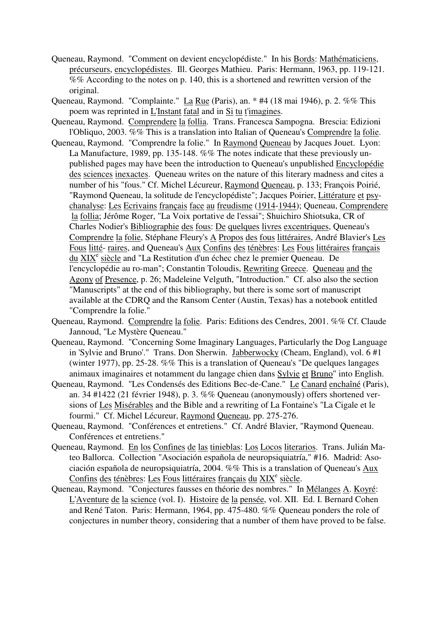- Queneau, Raymond. "Comment on devient encyclopédiste." In his Bords: Mathématiciens, précurseurs, encyclopédistes. Ill. Georges Mathieu. Paris: Hermann, 1963, pp. 119-121. %% According to the notes on p. 140, this is a shortened and rewritten version of the original.
- Queneau, Raymond. "Complainte." La Rue (Paris), an. \* #4 (18 mai 1946), p. 2. %% This poem was reprinted in L'Instant fatal and in Si tu t'imagines.
- Queneau, Raymond. Comprendere la follia. Trans. Francesca Sampogna. Brescia: Edizioni l'Obliquo, 2003. %% This is a translation into Italian of Queneau's Comprendre la folie.
- Queneau, Raymond. "Comprendre la folie." In Raymond Queneau by Jacques Jouet. Lyon: La Manufacture, 1989, pp. 135-148. %% The notes indicate that these previously unpublished pages may have been the introduction to Queneau's unpublished Encyclopédie des sciences inexactes. Queneau writes on the nature of this literary madness and cites a number of his "fous." Cf. Michel Lécureur, Raymond Queneau, p. 133; François Poirié, "Raymond Queneau, la solitude de l'encyclopédiste"; Jacques Poirier, Littérature et psychanalyse: Les Ecrivains français face au freudisme (1914-1944); Queneau, Comprendere la follia; Jérôme Roger, "La Voix portative de l'essai"; Shuichiro Shiotsuka, CR of Charles Nodier's Bibliographie des fous: De quelques livres excentriques, Queneau's Comprendre la folie, Stéphane Fleury's A Propos des fous littéraires, André Blavier's Les Fous litté- raires, and Queneau's Aux Confins des ténèbres: Les Fous littéraires français du XIX<sup>e</sup> siècle and "La Restitution d'un échec chez le premier Queneau. De l'encyclopédie au ro-man"; Constantin Toloudis, Rewriting Greece. Queneau and the Agony of Presence, p. 26; Madeleine Velguth, "Introduction." Cf. also also the section "Manuscripts" at the end of this bibliography, but there is some sort of manuscript available at the CDRQ and the Ransom Center (Austin, Texas) has a notebook entitled "Comprendre la folie."
- Queneau, Raymond. Comprendre la folie. Paris: Editions des Cendres, 2001. %% Cf. Claude Jannoud, "Le Mystère Queneau."
- Queneau, Raymond. "Concerning Some Imaginary Languages, Particularly the Dog Language in 'Sylvie and Bruno'." Trans. Don Sherwin. Jabberwocky (Cheam, England), vol. 6 #1 (winter 1977), pp. 25-28. %% This is a translation of Queneau's "De quelques langages animaux imaginaires et notamment du langage chien dans Sylvie et Bruno" into English.
- Queneau, Raymond. "Les Condensés des Editions Bec-de-Cane." Le Canard enchaîné (Paris), an. 34 #1422 (21 février 1948), p. 3. %% Queneau (anonymously) offers shortened versions of Les Misérables and the Bible and a rewriting of La Fontaine's "La Cigale et le fourmi." Cf. Michel Lécureur, Raymond Queneau, pp. 275-276.
- Queneau, Raymond. "Conférences et entretiens." Cf. André Blavier, "Raymond Queneau. Conférences et entretiens."
- Queneau, Raymond. En los Confines de las tinieblas: Los Locos literarios. Trans. Julián Mateo Ballorca. Collection "Asociación española de neuropsiquiatría," #16. Madrid: Asociación española de neuropsiquiatría, 2004. %% This is a translation of Queneau's Aux Confins des ténèbres: Les Fous littéraires français du XIX<sup>e</sup> siècle.
- Queneau, Raymond. "Conjectures fausses en théorie des nombres." In Mélanges A. Koyré: L'Aventure de la science (vol. I). Histoire de la pensée, vol. XII. Ed. I. Bernard Cohen and René Taton. Paris: Hermann, 1964, pp. 475-480. %% Queneau ponders the role of conjectures in number theory, considering that a number of them have proved to be false.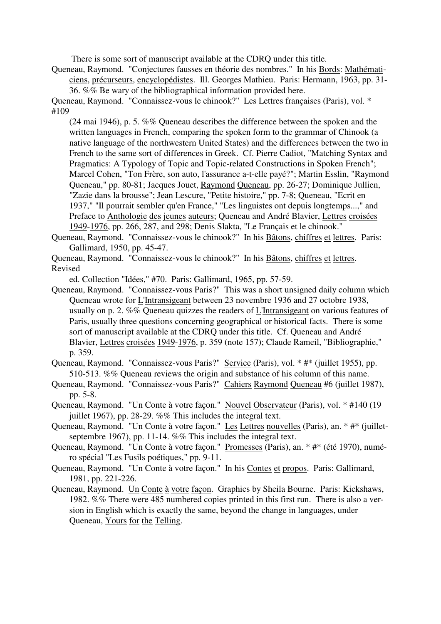There is some sort of manuscript available at the CDRQ under this title.

Queneau, Raymond. "Conjectures fausses en théorie des nombres." In his Bords: Mathématiciens, précurseurs, encyclopédistes. Ill. Georges Mathieu. Paris: Hermann, 1963, pp. 31- 36. %% Be wary of the bibliographical information provided here.

Queneau, Raymond. "Connaissez-vous le chinook?" Les Lettres françaises (Paris), vol. \* #109

(24 mai 1946), p. 5. %% Queneau describes the difference between the spoken and the written languages in French, comparing the spoken form to the grammar of Chinook (a native language of the northwestern United States) and the differences between the two in French to the same sort of differences in Greek. Cf. Pierre Cadiot, "Matching Syntax and Pragmatics: A Typology of Topic and Topic-related Constructions in Spoken French"; Marcel Cohen, "Ton Frère, son auto, l'assurance a-t-elle payé?"; Martin Esslin, "Raymond Queneau," pp. 80-81; Jacques Jouet, Raymond Queneau, pp. 26-27; Dominique Jullien, "Zazie dans la brousse"; Jean Lescure, "Petite histoire," pp. 7-8; Queneau, "Ecrit en 1937," "Il pourrait sembler qu'en France," "Les linguistes ont depuis longtemps...," and Preface to Anthologie des jeunes auteurs; Queneau and André Blavier, Lettres croisées 1949-1976, pp. 266, 287, and 298; Denis Slakta, "Le Français et le chinook."

Queneau, Raymond. "Connaissez-vous le chinook?" In his Bâtons, chiffres et lettres. Paris: Gallimard, 1950, pp. 45-47.

Queneau, Raymond. "Connaissez-vous le chinook?" In his Bâtons, chiffres et lettres. Revised

ed. Collection "Idées," #70. Paris: Gallimard, 1965, pp. 57-59.

Queneau, Raymond. "Connaissez-vous Paris?" This was a short unsigned daily column which Queneau wrote for L'Intransigeant between 23 novembre 1936 and 27 octobre 1938, usually on p. 2. %% Queneau quizzes the readers of L'Intransigeant on various features of Paris, usually three questions concerning geographical or historical facts. There is some sort of manuscript available at the CDRQ under this title. Cf. Queneau and André Blavier, Lettres croisées 1949-1976, p. 359 (note 157); Claude Rameil, "Bibliographie," p. 359.

Queneau, Raymond. "Connaissez-vous Paris?" Service (Paris), vol. \* #\* (juillet 1955), pp. 510-513. %% Queneau reviews the origin and substance of his column of this name.

- Queneau, Raymond. "Connaissez-vous Paris?" Cahiers Raymond Queneau #6 (juillet 1987), pp. 5-8.
- Queneau, Raymond. "Un Conte à votre façon." Nouvel Observateur (Paris), vol. \* #140 (19 juillet 1967), pp. 28-29. %% This includes the integral text.
- Queneau, Raymond. "Un Conte à votre façon." Les Lettres nouvelles (Paris), an. \* #\* (juilletseptembre 1967), pp. 11-14. %% This includes the integral text.
- Queneau, Raymond. "Un Conte à votre façon." Promesses (Paris), an. \* #\* (été 1970), numéro spécial "Les Fusils poétiques," pp. 9-11.
- Queneau, Raymond. "Un Conte à votre façon." In his Contes et propos. Paris: Gallimard, 1981, pp. 221-226.
- Queneau, Raymond. Un Conte à votre façon. Graphics by Sheila Bourne. Paris: Kickshaws, 1982. %% There were 485 numbered copies printed in this first run. There is also a version in English which is exactly the same, beyond the change in languages, under Queneau, Yours for the Telling.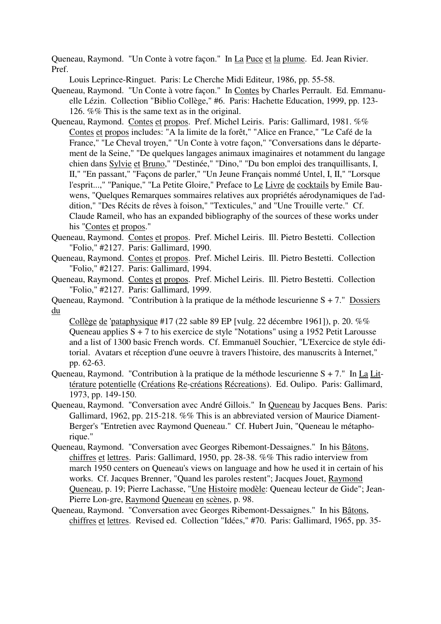Queneau, Raymond. "Un Conte à votre façon." In La Puce et la plume. Ed. Jean Rivier. Pref.

Louis Leprince-Ringuet. Paris: Le Cherche Midi Editeur, 1986, pp. 55-58.

- Queneau, Raymond. "Un Conte à votre façon." In Contes by Charles Perrault. Ed. Emmanuelle Lézin. Collection "Biblio Collège," #6. Paris: Hachette Education, 1999, pp. 123- 126. %% This is the same text as in the original.
- Queneau, Raymond. Contes et propos. Pref. Michel Leiris. Paris: Gallimard, 1981. %% Contes et propos includes: "A la limite de la forêt," "Alice en France," "Le Café de la France," "Le Cheval troyen," "Un Conte à votre façon," "Conversations dans le département de la Seine," "De quelques langages animaux imaginaires et notamment du langage chien dans Sylvie et Bruno," "Destinée," "Dino," "Du bon emploi des tranquillisants, I, II," "En passant," "Façons de parler," "Un Jeune Français nommé Untel, I, II," "Lorsque l'esprit...," "Panique," "La Petite Gloire," Preface to Le Livre de cocktails by Emile Bauwens, "Quelques Remarques sommaires relatives aux propriétés aérodynamiques de l'addition," "Des Récits de rêves à foison," "Texticules," and "Une Trouille verte." Cf. Claude Rameil, who has an expanded bibliography of the sources of these works under his "Contes et propos."
- Queneau, Raymond. Contes et propos. Pref. Michel Leiris. Ill. Pietro Bestetti. Collection "Folio," #2127. Paris: Gallimard, 1990.
- Queneau, Raymond. Contes et propos. Pref. Michel Leiris. Ill. Pietro Bestetti. Collection "Folio," #2127. Paris: Gallimard, 1994.
- Queneau, Raymond. Contes et propos. Pref. Michel Leiris. Ill. Pietro Bestetti. Collection "Folio," #2127. Paris: Gallimard, 1999.
- Queneau, Raymond. "Contribution à la pratique de la méthode lescurienne S + 7." Dossiers du

Collège de 'pataphysique #17 (22 sable 89 EP [vulg. 22 décembre 1961]), p. 20. %% Queneau applies S + 7 to his exercice de style "Notations" using a 1952 Petit Larousse and a list of 1300 basic French words. Cf. Emmanuël Souchier, "L'Exercice de style éditorial. Avatars et réception d'une oeuvre à travers l'histoire, des manuscrits à Internet," pp. 62-63.

- Queneau, Raymond. "Contribution à la pratique de la méthode lescurienne S + 7." In La Littérature potentielle (Créations Re-créations Récreations). Ed. Oulipo. Paris: Gallimard, 1973, pp. 149-150.
- Queneau, Raymond. "Conversation avec André Gillois." In Queneau by Jacques Bens. Paris: Gallimard, 1962, pp. 215-218. %% This is an abbreviated version of Maurice Diament-Berger's "Entretien avec Raymond Queneau." Cf. Hubert Juin, "Queneau le métaphorique."
- Queneau, Raymond. "Conversation avec Georges Ribemont-Dessaignes." In his Bâtons, chiffres et lettres. Paris: Gallimard, 1950, pp. 28-38. %% This radio interview from march 1950 centers on Queneau's views on language and how he used it in certain of his works. Cf. Jacques Brenner, "Quand les paroles restent"; Jacques Jouet, Raymond Queneau, p. 19; Pierre Lachasse, "Une Histoire modèle: Queneau lecteur de Gide"; Jean-Pierre Lon-gre, Raymond Queneau en scènes, p. 98.
- Queneau, Raymond. "Conversation avec Georges Ribemont-Dessaignes." In his Bâtons, chiffres et lettres. Revised ed. Collection "Idées," #70. Paris: Gallimard, 1965, pp. 35-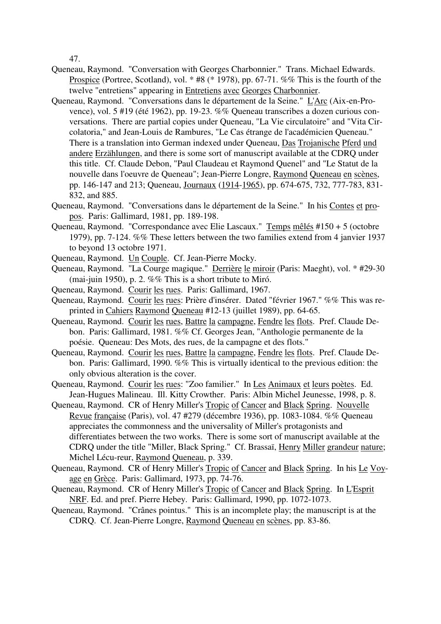47.

- Queneau, Raymond. "Conversation with Georges Charbonnier." Trans. Michael Edwards. Prospice (Portree, Scotland), vol. \* #8 (\* 1978), pp. 67-71. %% This is the fourth of the twelve "entretiens" appearing in Entretiens avec Georges Charbonnier.
- Queneau, Raymond. "Conversations dans le département de la Seine." L'Arc (Aix-en-Provence), vol. 5 #19 (été 1962), pp. 19-23. %% Queneau transcribes a dozen curious conversations. There are partial copies under Queneau, "La Vie circulatoire" and "Vita Circolatoria," and Jean-Louis de Rambures, "Le Cas étrange de l'académicien Queneau." There is a translation into German indexed under Queneau, Das Trojanische Pferd und andere Erzählungen, and there is some sort of manuscript available at the CDRQ under this title. Cf. Claude Debon, "Paul Claudeau et Raymond Quenel" and "Le Statut de la nouvelle dans l'oeuvre de Queneau"; Jean-Pierre Longre, Raymond Queneau en scènes, pp. 146-147 and 213; Queneau, Journaux (1914-1965), pp. 674-675, 732, 777-783, 831- 832, and 885.
- Queneau, Raymond. "Conversations dans le département de la Seine." In his Contes et propos. Paris: Gallimard, 1981, pp. 189-198.
- Queneau, Raymond. "Correspondance avec Elie Lascaux." Temps mêlés #150 + 5 (octobre 1979), pp. 7-124. %% These letters between the two families extend from 4 janvier 1937 to beyond 13 octobre 1971.
- Queneau, Raymond. Un Couple. Cf. Jean-Pierre Mocky.
- Queneau, Raymond. "La Courge magique." Derrière le miroir (Paris: Maeght), vol. \* #29-30 (mai-juin 1950), p. 2. %% This is a short tribute to Miró.
- Queneau, Raymond. Courir les rues. Paris: Gallimard, 1967.
- Queneau, Raymond. Courir les rues: Prière d'insérer. Dated "février 1967." %% This was reprinted in Cahiers Raymond Queneau #12-13 (juillet 1989), pp. 64-65.
- Queneau, Raymond. Courir les rues, Battre la campagne, Fendre les flots. Pref. Claude Debon. Paris: Gallimard, 1981. %% Cf. Georges Jean, "Anthologie permanente de la poésie. Queneau: Des Mots, des rues, de la campagne et des flots."
- Queneau, Raymond. Courir les rues, Battre la campagne, Fendre les flots. Pref. Claude Debon. Paris: Gallimard, 1990. %% This is virtually identical to the previous edition: the only obvious alteration is the cover.
- Queneau, Raymond. Courir les rues: "Zoo familier." In Les Animaux et leurs poètes. Ed. Jean-Hugues Malineau. Ill. Kitty Crowther. Paris: Albin Michel Jeunesse, 1998, p. 8.
- Queneau, Raymond. CR of Henry Miller's Tropic of Cancer and Black Spring. Nouvelle Revue française (Paris), vol. 47 #279 (décembre 1936), pp. 1083-1084. %% Queneau appreciates the commonness and the universality of Miller's protagonists and differentiates between the two works. There is some sort of manuscript available at the CDRQ under the title "Miller, Black Spring." Cf. Brassaï, Henry Miller grandeur nature; Michel Lécu-reur, Raymond Queneau, p. 339.
- Queneau, Raymond. CR of Henry Miller's Tropic of Cancer and Black Spring. In his Le Voyage en Grèce. Paris: Gallimard, 1973, pp. 74-76.
- Queneau, Raymond. CR of Henry Miller's Tropic of Cancer and Black Spring. In L'Esprit NRF. Ed. and pref. Pierre Hebey. Paris: Gallimard, 1990, pp. 1072-1073.
- Queneau, Raymond. "Crânes pointus." This is an incomplete play; the manuscript is at the CDRQ. Cf. Jean-Pierre Longre, Raymond Queneau en scènes, pp. 83-86.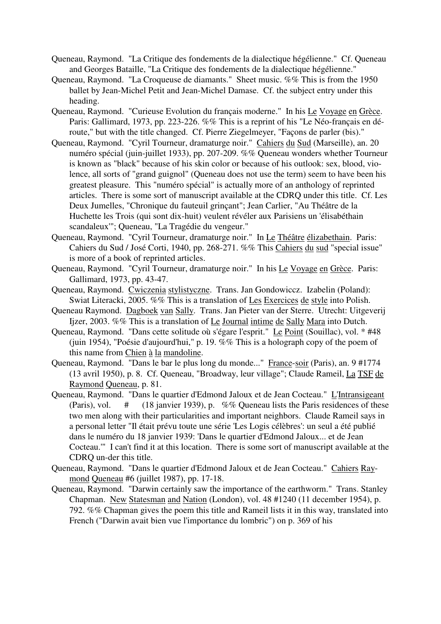- Queneau, Raymond. "La Critique des fondements de la dialectique hégélienne." Cf. Queneau and Georges Bataille, "La Critique des fondements de la dialectique hégélienne."
- Queneau, Raymond. "La Croqueuse de diamants." Sheet music. %% This is from the 1950 ballet by Jean-Michel Petit and Jean-Michel Damase. Cf. the subject entry under this heading.
- Queneau, Raymond. "Curieuse Evolution du français moderne." In his Le Voyage en Grèce. Paris: Gallimard, 1973, pp. 223-226. %% This is a reprint of his "Le Néo-français en déroute," but with the title changed. Cf. Pierre Ziegelmeyer, "Façons de parler (bis)."
- Queneau, Raymond. "Cyril Tourneur, dramaturge noir." Cahiers du Sud (Marseille), an. 20 numéro spécial (juin-juillet 1933), pp. 207-209. %% Queneau wonders whether Tourneur is known as "black" because of his skin color or because of his outlook: sex, blood, violence, all sorts of "grand guignol" (Queneau does not use the term) seem to have been his greatest pleasure. This "numéro spécial" is actually more of an anthology of reprinted articles. There is some sort of manuscript available at the CDRQ under this title. Cf. Les Deux Jumelles, "Chronique du fauteuil grinçant"; Jean Carlier, "Au Théâtre de la Huchette les Trois (qui sont dix-huit) veulent révéler aux Parisiens un 'élisabéthain scandaleux'"; Queneau, "La Tragédie du vengeur."
- Queneau, Raymond. "Cyril Tourneur, dramaturge noir." In Le Théâtre élizabethain. Paris: Cahiers du Sud / José Corti, 1940, pp. 268-271. %% This Cahiers du sud "special issue" is more of a book of reprinted articles.
- Queneau, Raymond. "Cyril Tourneur, dramaturge noir." In his Le Voyage en Grèce. Paris: Gallimard, 1973, pp. 43-47.
- Queneau, Raymond. Cwiczenia stylistyczne. Trans. Jan Gondowiccz. Izabelin (Poland): Swiat Literacki, 2005. %% This is a translation of Les Exercices de style into Polish.
- Queneau Raymond. Dagboek van Sally. Trans. Jan Pieter van der Sterre. Utrecht: Uitgeverij Ijzer, 2003. %% This is a translation of Le Journal intime de Sally Mara into Dutch.
- Queneau, Raymond. "Dans cette solitude où s'égare l'esprit." Le Point (Souillac), vol. \* #48 (juin 1954), "Poésie d'aujourd'hui," p. 19. %% This is a holograph copy of the poem of this name from Chien à la mandoline.
- Queneau, Raymond. "Dans le bar le plus long du monde..." France-soir (Paris), an. 9 #1774 (13 avril 1950), p. 8. Cf. Queneau, "Broadway, leur village"; Claude Rameil, La TSF de Raymond Queneau, p. 81.
- Queneau, Raymond. "Dans le quartier d'Edmond Jaloux et de Jean Cocteau." L'Intransigeant (Paris), vol.  $\#$  (18 janvier 1939), p. %% Queneau lists the Paris residences of these two men along with their particularities and important neighbors. Claude Rameil says in a personal letter "Il était prévu toute une série 'Les Logis célèbres': un seul a été publié dans le numéro du 18 janvier 1939: 'Dans le quartier d'Edmond Jaloux... et de Jean Cocteau.'" I can't find it at this location. There is some sort of manuscript available at the CDRQ un-der this title.
- Queneau, Raymond. "Dans le quartier d'Edmond Jaloux et de Jean Cocteau." Cahiers Raymond Queneau #6 (juillet 1987), pp. 17-18.
- Queneau, Raymond. "Darwin certainly saw the importance of the earthworm." Trans. Stanley Chapman. New Statesman and Nation (London), vol. 48 #1240 (11 december 1954), p. 792. %% Chapman gives the poem this title and Rameil lists it in this way, translated into French ("Darwin avait bien vue l'importance du lombric") on p. 369 of his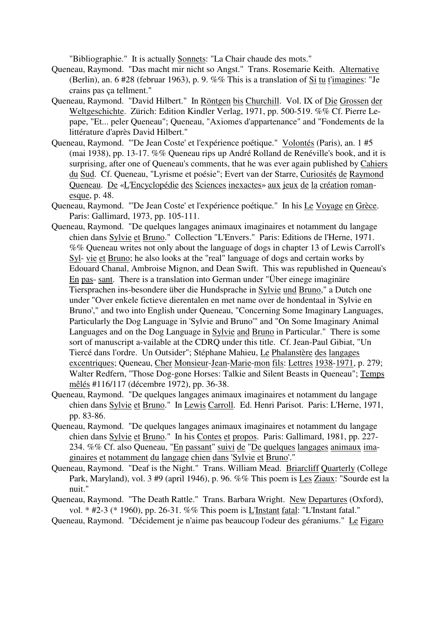"Bibliographie." It is actually Sonnets: "La Chair chaude des mots."

- Queneau, Raymond. "Das macht mir nicht so Angst." Trans. Rosemarie Keith. Alternative (Berlin), an. 6 #28 (februar 1963), p. 9. %% This is a translation of Si tu t'imagines: "Je crains pas ça tellment."
- Queneau, Raymond. "David Hilbert." In Röntgen bis Churchill. Vol. IX of Die Grossen der Weltgeschichte. Zürich: Edition Kindler Verlag, 1971, pp. 500-519. %% Cf. Pierre Lepape, "Et... peler Queneau"; Queneau, "Axiomes d'appartenance" and "Fondements de la littérature d'après David Hilbert."
- Queneau, Raymond. "'De Jean Coste' et l'expérience poétique." Volontés (Paris), an. 1 #5 (mai 1938), pp. 13-17. %% Queneau rips up André Rolland de Renéville's book, and it is surprising, after one of Queneau's comments, that he was ever again published by Cahiers du Sud. Cf. Queneau, "Lyrisme et poésie"; Evert van der Starre, Curiosités de Raymond Queneau. De «L'Encyclopédie des Sciences inexactes» aux jeux de la création romanesque, p. 48.
- Queneau, Raymond. "'De Jean Coste' et l'expérience poétique." In his Le Voyage en Grèce. Paris: Gallimard, 1973, pp. 105-111.
- Queneau, Raymond. "De quelques langages animaux imaginaires et notamment du langage chien dans Sylvie et Bruno." Collection "L'Envers." Paris: Editions de l'Herne, 1971. %% Queneau writes not only about the language of dogs in chapter 13 of Lewis Carroll's Syl- vie et Bruno; he also looks at the "real" language of dogs and certain works by Edouard Chanal, Ambroise Mignon, and Dean Swift. This was republished in Queneau's En pas- sant. There is a translation into German under "Über einege imaginäre Tiersprachen ins-besondere über die Hundsprache in Sylvie und Bruno," a Dutch one under "Over enkele fictieve dierentalen en met name over de hondentaal in 'Sylvie en Bruno'," and two into English under Queneau, "Concerning Some Imaginary Languages, Particularly the Dog Language in 'Sylvie and Bruno'" and "On Some Imaginary Animal Languages and on the Dog Language in Sylvie and Bruno in Particular." There is some sort of manuscript a-vailable at the CDRQ under this title. Cf. Jean-Paul Gibiat, "Un Tiercé dans l'ordre. Un Outsider"; Stéphane Mahieu, Le Phalanstère des langages excentriques; Queneau, Cher Monsieur-Jean-Marie-mon fils: Lettres 1938-1971, p. 279; Walter Redfern, "Those Dog-gone Horses: Talkie and Silent Beasts in Queneau"; Temps mêlés #116/117 (décembre 1972), pp. 36-38.
- Queneau, Raymond. "De quelques langages animaux imaginaires et notamment du langage chien dans Sylvie et Bruno." In Lewis Carroll. Ed. Henri Parisot. Paris: L'Herne, 1971, pp. 83-86.
- Queneau, Raymond. "De quelques langages animaux imaginaires et notamment du langage chien dans Sylvie et Bruno." In his Contes et propos. Paris: Gallimard, 1981, pp. 227- 234. %% Cf. also Queneau, "En passant" suivi de "De quelques langages animaux imaginaires et notamment du langage chien dans 'Sylvie et Bruno'."
- Queneau, Raymond. "Deaf is the Night." Trans. William Mead. Briarcliff Quarterly (College Park, Maryland), vol. 3 #9 (april 1946), p. 96. %% This poem is Les Ziaux: "Sourde est la nuit."
- Queneau, Raymond. "The Death Rattle." Trans. Barbara Wright. New Departures (Oxford), vol. \* #2-3 (\* 1960), pp. 26-31. %% This poem is L'Instant fatal: "L'Instant fatal."
- Queneau, Raymond. "Décidement je n'aime pas beaucoup l'odeur des géraniums." Le Figaro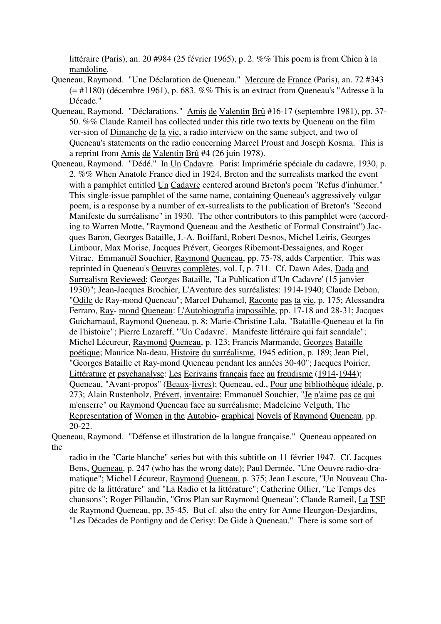littéraire (Paris), an. 20 #984 (25 février 1965), p. 2. %% This poem is from Chien à la mandoline.

- Queneau, Raymond. "Une Déclaration de Queneau." Mercure de France (Paris), an. 72 #343 (= #1180) (décembre 1961), p. 683. %% This is an extract from Queneau's "Adresse à la Décade."
- Queneau, Raymond. "Déclarations." Amis de Valentin Brû #16-17 (septembre 1981), pp. 37- 50. %% Claude Rameil has collected under this title two texts by Queneau on the film ver-sion of Dimanche de la vie, a radio interview on the same subject, and two of Queneau's statements on the radio concerning Marcel Proust and Joseph Kosma. This is a reprint from Amis de Valentin Brû #4 (26 juin 1978).
- Queneau, Raymond. "Dédé." In Un Cadavre. Paris: Imprimérie spéciale du cadavre, 1930, p. 2. %% When Anatole France died in 1924, Breton and the surrealists marked the event with a pamphlet entitled Un Cadavre centered around Breton's poem "Refus d'inhumer." This single-issue pamphlet of the same name, containing Queneau's aggressively vulgar poem, is a response by a number of ex-surrealists to the publication of Breton's "Second Manifeste du surréalisme" in 1930. The other contributors to this pamphlet were (according to Warren Motte, "Raymond Queneau and the Aesthetic of Formal Constraint") Jacques Baron, Georges Bataille, J.-A. Boiffard, Robert Desnos, Michel Leiris, Georges Limbour, Max Morise, Jacques Prévert, Georges Ribemont-Dessaignes, and Roger Vitrac. Emmanuël Souchier, Raymond Queneau, pp. 75-78, adds Carpentier. This was reprinted in Queneau's Oeuvres complètes, vol. I, p. 711. Cf. Dawn Ades, Dada and Surrealism Reviewed; Georges Bataille, "La Publication d''Un Cadavre' (15 janvier 1930)"; Jean-Jacques Brochier, L'Aventure des surréalistes: 1914-1940; Claude Debon, "Odile de Ray-mond Queneau"; Marcel Duhamel, Raconte pas ta vie, p. 175; Alessandra Ferraro, Ray- mond Queneau: L'Autobiografia impossible, pp. 17-18 and 28-31; Jacques Guicharnaud, Raymond Queneau, p. 8; Marie-Christine Lala, "Bataille-Queneau et la fin de l'histoire"; Pierre Lazareff, "'Un Cadavre'. Manifeste littéraire qui fait scandale"; Michel Lécureur, Raymond Queneau, p. 123; Francis Marmande, Georges Bataille poétique; Maurice Na-deau, Histoire du surréalisme, 1945 edition, p. 189; Jean Piel, "Georges Bataille et Ray-mond Queneau pendant les années 30-40"; Jacques Poirier, Littérature et psychanalyse: Les Ecrivains français face au freudisme (1914-1944); Queneau, "Avant-propos" (Beaux-livres); Queneau, ed., Pour une bibliothèque idéale, p. 273; Alain Rustenholz, Prévert, inventaire; Emmanuël Souchier, "Je n'aime pas ce qui m'enserre" ou Raymond Queneau face au surréalisme; Madeleine Velguth, The Representation of Women in the Autobio- graphical Novels of Raymond Queneau, pp. 20-22.

Queneau, Raymond. "Défense et illustration de la langue française." Queneau appeared on the

radio in the "Carte blanche" series but with this subtitle on 11 février 1947. Cf. Jacques Bens, Queneau, p. 247 (who has the wrong date); Paul Dermée, "Une Oeuvre radio-dramatique"; Michel Lécureur, Raymond Queneau, p. 375; Jean Lescure, "Un Nouveau Chapitre de la littérature" and "La Radio et la littérature"; Catherine Ollier, "Le Temps des chansons"; Roger Pillaudin, "Gros Plan sur Raymond Queneau"; Claude Rameil, La TSF de Raymond Queneau, pp. 35-45. But cf. also the entry for Anne Heurgon-Desjardins, "Les Décades de Pontigny and de Cerisy: De Gide à Queneau." There is some sort of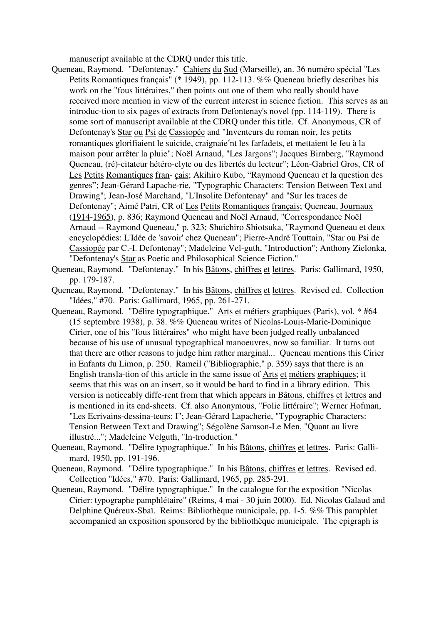manuscript available at the CDRQ under this title.

- Queneau, Raymond. "Defontenay." Cahiers du Sud (Marseille), an. 36 numéro spécial "Les Petits Romantiques français" (\* 1949), pp. 112-113. %% Queneau briefly describes his work on the "fous littéraires," then points out one of them who really should have received more mention in view of the current interest in science fiction. This serves as an introduc-tion to six pages of extracts from Defontenay's novel (pp. 114-119). There is some sort of manuscript available at the CDRQ under this title. Cf. Anonymous, CR of Defontenay's Star ou Psi de Cassiopée and "Inventeurs du roman noir, les petits romantiques glorifiaient le suicide, craignaie′nt les farfadets, et mettaient le feu à la maison pour arrêter la pluie"; Noël Arnaud, "Les Jargons"; Jacques Birnberg, "Raymond Queneau, (ré)-citateur hétéro-clyte ou des libertés du lecteur"; Léon-Gabriel Gros, CR of Les Petits Romantiques fran- çais; Akihiro Kubo, "Raymond Queneau et la question des genres"; Jean-Gérard Lapache-rie, "Typographic Characters: Tension Between Text and Drawing"; Jean-José Marchand, "L'Insolite Defontenay" and "Sur les traces de Defontenay"; Aimé Patri, CR of Les Petits Romantiques français; Queneau, Journaux (1914-1965), p. 836; Raymond Queneau and Noël Arnaud, "Correspondance Noël Arnaud -- Raymond Queneau," p. 323; Shuichiro Shiotsuka, "Raymond Queneau et deux encyclopédies: L'Idée de 'savoir' chez Queneau"; Pierre-André Touttain, "Star ou Psi de Cassiopée par C.-I. Defontenay"; Madeleine Vel-guth, "Introduction"; Anthony Zielonka, "Defontenay's Star as Poetic and Philosophical Science Fiction."
- Queneau, Raymond. "Defontenay." In his Bâtons, chiffres et lettres. Paris: Gallimard, 1950, pp. 179-187.
- Queneau, Raymond. "Defontenay." In his Bâtons, chiffres et lettres. Revised ed. Collection "Idées," #70. Paris: Gallimard, 1965, pp. 261-271.
- Queneau, Raymond. "Délire typographique." Arts et métiers graphiques (Paris), vol. \* #64 (15 septembre 1938), p. 38. %% Queneau writes of Nicolas-Louis-Marie-Dominique Cirier, one of his "fous littéraires" who might have been judged really unbalanced because of his use of unusual typographical manoeuvres, now so familiar. It turns out that there are other reasons to judge him rather marginal... Queneau mentions this Cirier in Enfants du Limon, p. 250. Rameil ("Bibliographie," p. 359) says that there is an English transla-tion of this article in the same issue of Arts et métiers graphiques; it seems that this was on an insert, so it would be hard to find in a library edition. This version is noticeably diffe-rent from that which appears in Bâtons, chiffres et lettres and is mentioned in its end-sheets. Cf. also Anonymous, "Folie littéraire"; Werner Hofman, "Les Ecrivains-dessina-teurs: I"; Jean-Gérard Lapacherie, "Typographic Characters: Tension Between Text and Drawing"; Ségolène Samson-Le Men, "Quant au livre illustré..."; Madeleine Velguth, "In-troduction."
- Queneau, Raymond. "Délire typographique." In his Bâtons, chiffres et lettres. Paris: Gallimard, 1950, pp. 191-196.
- Queneau, Raymond. "Délire typographique." In his Bâtons, chiffres et lettres. Revised ed. Collection "Idées," #70. Paris: Gallimard, 1965, pp. 285-291.
- Queneau, Raymond. "Délire typographique." In the catalogue for the exposition "Nicolas Cirier: typographe pamphlétaire" (Reims, 4 mai - 30 juin 2000). Ed. Nicolas Galaud and Delphine Quéreux-Sbaï. Reims: Bibliothèque municipale, pp. 1-5. %% This pamphlet accompanied an exposition sponsored by the bibliothèque municipale. The epigraph is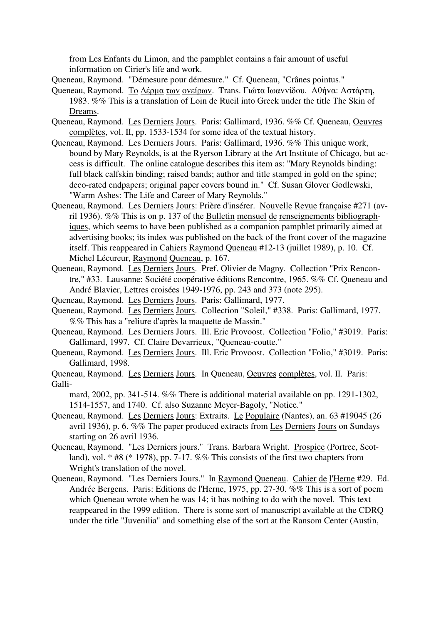from Les Enfants du Limon, and the pamphlet contains a fair amount of useful information on Cirier's life and work.

Queneau, Raymond. "Démesure pour démesure." Cf. Queneau, "Crânes pointus."

- Queneau, Raymond. Τo ∆έρµα τωv ovείρωv. Trans. Γιώτα Iωαvvίδoυ. Αθήvα: Αστάρτη, 1983. %% This is a translation of Loin de Rueil into Greek under the title The Skin of Dreams.
- Queneau, Raymond. Les Derniers Jours. Paris: Gallimard, 1936. %% Cf. Queneau, Oeuvres complètes, vol. II, pp. 1533-1534 for some idea of the textual history.
- Queneau, Raymond. Les Derniers Jours. Paris: Gallimard, 1936. %% This unique work, bound by Mary Reynolds, is at the Ryerson Library at the Art Institute of Chicago, but access is difficult. The online catalogue describes this item as: "Mary Reynolds binding: full black calfskin binding; raised bands; author and title stamped in gold on the spine; deco-rated endpapers; original paper covers bound in." Cf. Susan Glover Godlewski, "Warm Ashes: The Life and Career of Mary Reynolds."
- Queneau, Raymond. Les Derniers Jours: Prière d'insérer. Nouvelle Revue française #271 (avril 1936). %% This is on p. 137 of the Bulletin mensuel de renseignements bibliographiques, which seems to have been published as a companion pamphlet primarily aimed at advertising books; its index was published on the back of the front cover of the magazine itself. This reappeared in Cahiers Raymond Queneau #12-13 (juillet 1989), p. 10. Cf. Michel Lécureur, Raymond Queneau, p. 167.
- Queneau, Raymond. Les Derniers Jours. Pref. Olivier de Magny. Collection "Prix Rencontre," #33. Lausanne: Société coopérative éditions Rencontre, 1965. %% Cf. Queneau and André Blavier, Lettres croisées 1949-1976, pp. 243 and 373 (note 295).
- Queneau, Raymond. Les Derniers Jours. Paris: Gallimard, 1977.
- Queneau, Raymond. Les Derniers Jours. Collection "Soleil," #338. Paris: Gallimard, 1977. %% This has a "reliure d'après la maquette de Massin."
- Queneau, Raymond. Les Derniers Jours. Ill. Eric Provoost. Collection "Folio," #3019. Paris: Gallimard, 1997. Cf. Claire Devarrieux, "Queneau-coutte."
- Queneau, Raymond. Les Derniers Jours. Ill. Eric Provoost. Collection "Folio," #3019. Paris: Gallimard, 1998.
- Queneau, Raymond. Les Derniers Jours. In Queneau, Oeuvres complètes, vol. II. Paris: Galli-

mard, 2002, pp. 341-514. %% There is additional material available on pp. 1291-1302, 1514-1557, and 1740. Cf. also Suzanne Meyer-Bagoly, "Notice."

- Queneau, Raymond. Les Derniers Jours: Extraits. Le Populaire (Nantes), an. 63 #19045 (26 avril 1936), p. 6. %% The paper produced extracts from Les Derniers Jours on Sundays starting on 26 avril 1936.
- Queneau, Raymond. "Les Derniers jours." Trans. Barbara Wright. Prospice (Portree, Scotland), vol. \* #8 (\* 1978), pp. 7-17. %% This consists of the first two chapters from Wright's translation of the novel.
- Queneau, Raymond. "Les Derniers Jours." In Raymond Queneau. Cahier de l'Herne #29. Ed. Andrée Bergens. Paris: Editions de l'Herne, 1975, pp. 27-30. %% This is a sort of poem which Queneau wrote when he was 14; it has nothing to do with the novel. This text reappeared in the 1999 edition. There is some sort of manuscript available at the CDRQ under the title "Juvenilia" and something else of the sort at the Ransom Center (Austin,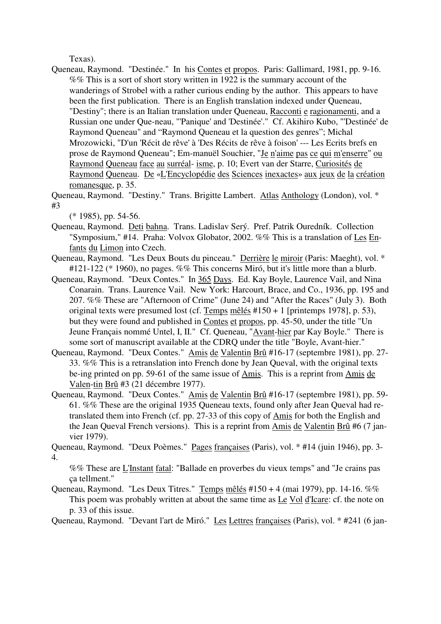Texas).

Queneau, Raymond. "Destinée." In his Contes et propos. Paris: Gallimard, 1981, pp. 9-16. %% This is a sort of short story written in 1922 is the summary account of the wanderings of Strobel with a rather curious ending by the author. This appears to have been the first publication. There is an English translation indexed under Queneau, "Destiny"; there is an Italian translation under Queneau, Racconti e ragionamenti, and a Russian one under Que-neau, "'Panique' and 'Destinée'." Cf. Akihiro Kubo, "'Destinée' de Raymond Queneau" and "Raymond Queneau et la question des genres"; Michal Mrozowicki, "D'un 'Récit de rêve' à 'Des Récits de rêve à foison' --- Les Ecrits brefs en prose de Raymond Queneau"; Em-manuël Souchier, "Je n'aime pas ce qui m'enserre" ou Raymond Queneau face au surréal- isme, p. 10; Evert van der Starre, Curiosités de Raymond Queneau. De «L'Encyclopédie des Sciences inexactes» aux jeux de la création romanesque, p. 35.

Queneau, Raymond. "Destiny." Trans. Brigitte Lambert. Atlas Anthology (London), vol. \* #3

(\* 1985), pp. 54-56.

- Queneau, Raymond. Deti bahna. Trans. Ladislav Serý. Pref. Patrik Ouredník. Collection "Symposium," #14. Praha: Volvox Globator, 2002. %% This is a translation of Les Enfants du Limon into Czech.
- Queneau, Raymond. "Les Deux Bouts du pinceau." Derrière le miroir (Paris: Maeght), vol. \* #121-122 (\* 1960), no pages. %% This concerns Miró, but it's little more than a blurb.
- Queneau, Raymond. "Deux Contes." In 365 Days. Ed. Kay Boyle, Laurence Vail, and Nina Conarain. Trans. Laurence Vail. New York: Harcourt, Brace, and Co., 1936, pp. 195 and 207. %% These are "Afternoon of Crime" (June 24) and "After the Races" (July 3). Both original texts were presumed lost (cf. Temps mêlés #150 + 1 [printemps 1978], p. 53), but they were found and published in Contes et propos, pp. 45-50, under the title "Un Jeune Français nommé Untel, I, II." Cf. Queneau, "Avant-hier par Kay Boyle." There is some sort of manuscript available at the CDRQ under the title "Boyle, Avant-hier."
- Queneau, Raymond. "Deux Contes." Amis de Valentin Brû #16-17 (septembre 1981), pp. 27- 33. %% This is a retranslation into French done by Jean Queval, with the original texts be-ing printed on pp. 59-61 of the same issue of Amis. This is a reprint from Amis de Valen-tin Brû #3 (21 décembre 1977).
- Queneau, Raymond. "Deux Contes." Amis de Valentin Brû #16-17 (septembre 1981), pp. 59- 61. %% These are the original 1935 Queneau texts, found only after Jean Queval had retranslated them into French (cf. pp. 27-33 of this copy of Amis for both the English and the Jean Queval French versions). This is a reprint from Amis de Valentin Brû #6 (7 janvier 1979).

Queneau, Raymond. "Deux Poèmes." Pages françaises (Paris), vol. \* #14 (juin 1946), pp. 3- 4.

%% These are L'Instant fatal: "Ballade en proverbes du vieux temps" and "Je crains pas ça tellment."

Queneau, Raymond. "Les Deux Titres." Temps mêlés #150 + 4 (mai 1979), pp. 14-16. %% This poem was probably written at about the same time as Le Vol d'Icare: cf. the note on p. 33 of this issue.

Queneau, Raymond. "Devant l'art de Miró." Les Lettres françaises (Paris), vol. \* #241 (6 jan-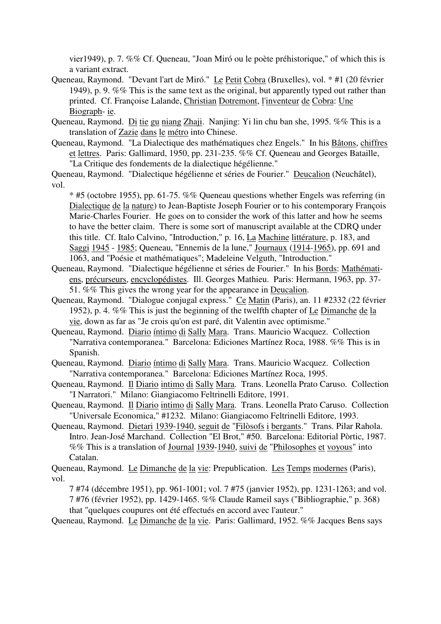vier1949), p. 7. %% Cf. Queneau, "Joan Miró ou le poète préhistorique," of which this is a variant extract.

- Queneau, Raymond. "Devant l'art de Miró." Le Petit Cobra (Bruxelles), vol. \* #1 (20 février 1949), p. 9. %% This is the same text as the original, but apparently typed out rather than printed. Cf. Françoise Lalande, Christian Dotremont, l'inventeur de Cobra: Une Biograph- ie.
- Queneau, Raymond. Di tie gu niang Zhaji. Nanjing: Yi lin chu ban she, 1995. %% This is a translation of Zazie dans le métro into Chinese.
- Queneau, Raymond. "La Dialectique des mathématiques chez Engels." In his Bâtons, chiffres et lettres. Paris: Gallimard, 1950, pp. 231-235. %% Cf. Queneau and Georges Bataille, "La Critique des fondements de la dialectique hégélienne."

Queneau, Raymond. "Dialectique hégélienne et séries de Fourier." Deucalion (Neuchâtel), vol.

\* #5 (octobre 1955), pp. 61-75. %% Queneau questions whether Engels was referring (in Dialectique de la nature) to Jean-Baptiste Joseph Fourier or to his contemporary François Marie-Charles Fourier. He goes on to consider the work of this latter and how he seems to have the better claim. There is some sort of manuscript available at the CDRQ under this title. Cf. Italo Calvino, "Introduction," p. 16, La Machine littérature, p. 183, and Saggi 1945 - 1985; Queneau, "Ennemis de la lune," Journaux (1914-1965), pp. 691 and 1063, and "Poésie et mathématiques"; Madeleine Velguth, "Introduction."

- Queneau, Raymond. "Dialectique hégélienne et séries de Fourier." In his Bords: Mathématiens, précurseurs, encyclopédistes. Ill. Georges Mathieu. Paris: Hermann, 1963, pp. 37- 51. %% This gives the wrong year for the appearance in Deucalion.
- Queneau, Raymond. "Dialogue conjugal express." Ce Matin (Paris), an. 11 #2332 (22 février 1952), p. 4. %% This is just the beginning of the twelfth chapter of Le Dimanche de la vie, down as far as "Je crois qu'on est paré, dit Valentin avec optimisme."
- Queneau, Raymond. Diario íntimo di Sally Mara. Trans. Mauricio Wacquez. Collection "Narrativa contemporanea." Barcelona: Ediciones Martínez Roca, 1988. %% This is in Spanish.
- Queneau, Raymond. Diario íntimo di Sally Mara. Trans. Mauricio Wacquez. Collection "Narrativa contemporanea." Barcelona: Ediciones Martínez Roca, 1995.
- Queneau, Raymond. Il Diario intimo di Sally Mara. Trans. Leonella Prato Caruso. Collection "I Narratori." Milano: Giangiacomo Feltrinelli Editore, 1991.

Queneau, Raymond. Il Diario intimo di Sally Mara. Trans. Leonella Prato Caruso. Collection "Universale Economica," #1232. Milano: Giangiacomo Feltrinelli Editore, 1993.

Queneau, Raymond. Dietari 1939-1940, seguit de "Filòsofs i bergants." Trans. Pilar Rahola. Intro. Jean-José Marchand. Collection "El Brot," #50. Barcelona: Editorial Pòrtic, 1987. %% This is a translation of Journal 1939-1940, suivi de "Philosophes et voyous" into Catalan.

Queneau, Raymond. Le Dimanche de la vie: Prepublication. Les Temps modernes (Paris), vol.

7 #74 (décembre 1951), pp. 961-1001; vol. 7 #75 (janvier 1952), pp. 1231-1263; and vol. 7 #76 (février 1952), pp. 1429-1465. %% Claude Rameil says ("Bibliographie," p. 368) that "quelques coupures ont été effectués en accord avec l'auteur."

Queneau, Raymond. Le Dimanche de la vie. Paris: Gallimard, 1952. %% Jacques Bens says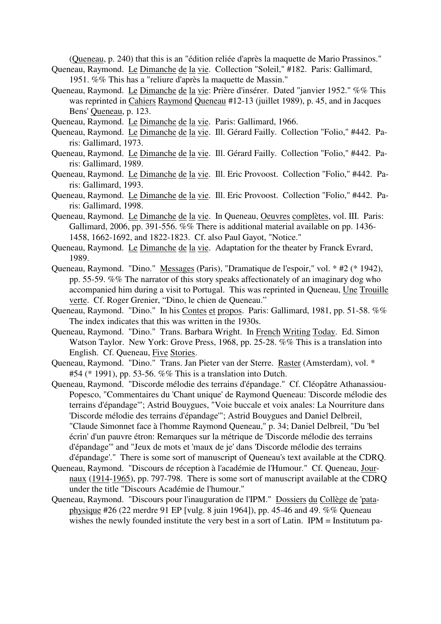(Queneau, p. 240) that this is an "édition reliée d'après la maquette de Mario Prassinos."

- Queneau, Raymond. Le Dimanche de la vie. Collection "Soleil," #182. Paris: Gallimard, 1951. %% This has a "reliure d'après la maquette de Massin."
- Queneau, Raymond. Le Dimanche de la vie: Prière d'insérer. Dated "janvier 1952." %% This was reprinted in Cahiers Raymond Queneau #12-13 (juillet 1989), p. 45, and in Jacques Bens' Queneau, p. 123.
- Queneau, Raymond. Le Dimanche de la vie. Paris: Gallimard, 1966.
- Queneau, Raymond. Le Dimanche de la vie. Ill. Gérard Failly. Collection "Folio," #442. Paris: Gallimard, 1973.
- Queneau, Raymond. Le Dimanche de la vie. Ill. Gérard Failly. Collection "Folio," #442. Paris: Gallimard, 1989.
- Queneau, Raymond. Le Dimanche de la vie. Ill. Eric Provoost. Collection "Folio," #442. Paris: Gallimard, 1993.
- Queneau, Raymond. Le Dimanche de la vie. Ill. Eric Provoost. Collection "Folio," #442. Paris: Gallimard, 1998.
- Queneau, Raymond. Le Dimanche de la vie. In Queneau, Oeuvres complètes, vol. III. Paris: Gallimard, 2006, pp. 391-556. %% There is additional material available on pp. 1436- 1458, 1662-1692, and 1822-1823. Cf. also Paul Gayot, "Notice."
- Queneau, Raymond. Le Dimanche de la vie. Adaptation for the theater by Franck Evrard, 1989.
- Queneau, Raymond. "Dino." Messages (Paris), "Dramatique de l'espoir," vol. \* #2 (\* 1942), pp. 55-59. %% The narrator of this story speaks affectionately of an imaginary dog who accompanied him during a visit to Portugal. This was reprinted in Queneau, Une Trouille verte. Cf. Roger Grenier, "Dino, le chien de Queneau."
- Queneau, Raymond. "Dino." In his Contes et propos. Paris: Gallimard, 1981, pp. 51-58. %% The index indicates that this was written in the 1930s.
- Queneau, Raymond. "Dino." Trans. Barbara Wright. In French Writing Today. Ed. Simon Watson Taylor. New York: Grove Press, 1968, pp. 25-28. %% This is a translation into English. Cf. Queneau, Five Stories.
- Queneau, Raymond. "Dino." Trans. Jan Pieter van der Sterre. Raster (Amsterdam), vol. \* #54 (\* 1991), pp. 53-56. %% This is a translation into Dutch.
- Queneau, Raymond. "Discorde mélodie des terrains d'épandage." Cf. Cléopâtre Athanassiou-Popesco, "Commentaires du 'Chant unique' de Raymond Queneau: 'Discorde mélodie des terrains d'épandage'"; Astrid Bouygues, "Voie buccale et voix anales: La Nourriture dans 'Discorde mélodie des terrains d'épandage'"; Astrid Bouygues and Daniel Delbreil, "Claude Simonnet face à l'homme Raymond Queneau," p. 34; Daniel Delbreil, "Du 'bel écrin' d'un pauvre étron: Remarques sur la métrique de 'Discorde mélodie des terrains d'épandage'" and "Jeux de mots et 'maux de je' dans 'Discorde mélodie des terrains d'épandage'." There is some sort of manuscript of Queneau's text available at the CDRQ.
- Queneau, Raymond. "Discours de réception à l'académie de l'Humour." Cf. Queneau, Journaux (1914-1965), pp. 797-798. There is some sort of manuscript available at the CDRQ under the title "Discours Académie de l'humour."
- Queneau, Raymond. "Discours pour l'inauguration de l'IPM." Dossiers du Collège de 'pataphysique #26 (22 merdre 91 EP [vulg. 8 juin 1964]), pp. 45-46 and 49. %% Queneau wishes the newly founded institute the very best in a sort of Latin. IPM = Institutum pa-